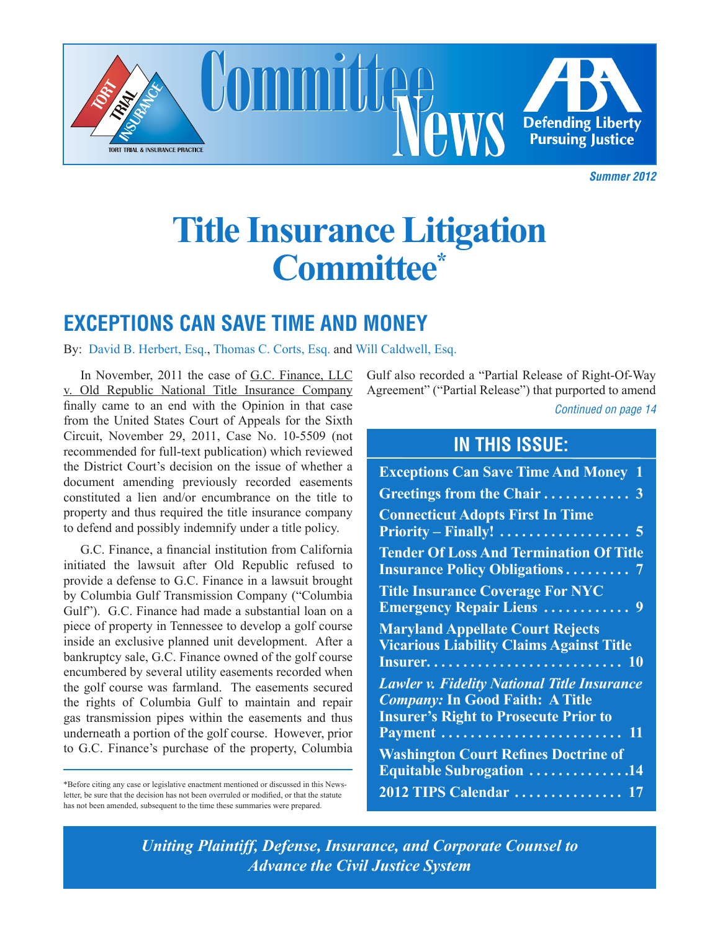

**Summer 2012** 

# **Title Insurance Litigation Law Committee Committee\* Title Insurance Litigation**

# **EXCEPTIONS CAN SAVE TIME AND MONEY**

By: David B. Herbert, Esq., Thomas C. Corts, Esq. and Will Caldwell, Esq.

finally came to an end with the Opinion in that case from the United States Court of Appeals for the Sixth Circuit, November 29, 2011, Case No. 10-5509 (not recommended for full-text publication) which reviewed moratorium raised over "mounting injury and the thousands of cases the District Court's decision on the issue of whether a document amending previously recorded easements constituted a lien and/or encumbrance on the title to **Greetings I** property and thus required the title insurance company **Connecticu** to defend and possibly indemnify under a title policy. In November, 2011 the case of <u>G.C. Finance, LLC</u> v. Old Republic National Title Insurance Company

\*Before citing any case or legislative enactment mentioned or discussed in this News-<br>letter, be sure that the decision has not been overruled or modified, or that the statute 2012 TIPS Calendar ........................... the state of the contract of the contract of the contract of the contract of the contract of the contract of the contract of the contract of the contract of the contract of the contract of the contract of the contract of t \*Before citing any case or legislative enactment mentioned or discussed in this News-Plan. Washington Department of the first process of the second that the second the second that the second the second that the second the second that the second that the second that the second that the second that the secon has not been amended, subsequent to the time these summaries were prepared.

**Continued on page 14** epitomize the emerging field of Gulf also recorded a "Partial Release of Right-Of-Way Agreement" ("Partial Release") that purported to amend

### nanotechnology, defined by some as the "ability to measure, see, **IN THIS ISSUE:**

| the District Court's decision on the issue of whether a                                                                                                                                                                             | <b>Exceptions Can Save Time And Money 1</b>                                                |
|-------------------------------------------------------------------------------------------------------------------------------------------------------------------------------------------------------------------------------------|--------------------------------------------------------------------------------------------|
| document amending previously recorded easements                                                                                                                                                                                     | Greetings from the Chair  3                                                                |
| constituted a lien and/or encumbrance on the title to<br>property and thus required the title insurance company<br>to defend and possibly indemnify under a title policy.                                                           | <b>Connecticut Adopts First In Time</b>                                                    |
| G.C. Finance, a financial institution from California<br>initiated the lawsuit after Old Republic refused to<br>provide a defense to G.C. Finance in a lawsuit brought                                                              | <b>Tender Of Loss And Termination Of Title</b><br><b>Insurance Policy Obligations 7</b>    |
| by Columbia Gulf Transmission Company ("Columbia                                                                                                                                                                                    | <b>Title Insurance Coverage For NYC</b>                                                    |
| Gulf"). G.C. Finance had made a substantial loan on a                                                                                                                                                                               | <b>Emergency Repair Liens </b> 9                                                           |
| piece of property in Tennessee to develop a golf course<br>inside an exclusive planned unit development. After a<br>bankruptcy sale, G.C. Finance owned of the golf course<br>encumbered by several utility easements recorded when | <b>Maryland Appellate Court Rejects</b><br><b>Vicarious Liability Claims Against Title</b> |
| the golf course was farmland. The easements secured                                                                                                                                                                                 | <b>Lawler v. Fidelity National Title Insurance</b>                                         |
| the rights of Columbia Gulf to maintain and repair                                                                                                                                                                                  | <b>Company: In Good Faith: A Title</b>                                                     |
| gas transmission pipes within the easements and thus                                                                                                                                                                                | <b>Insurer's Right to Prosecute Prior to</b>                                               |
| underneath a portion of the golf course. However, prior                                                                                                                                                                             |                                                                                            |
| to G.C. Finance's purchase of the property, Columbia                                                                                                                                                                                | <b>Washington Court Refines Doctrine of</b>                                                |
| *Before citing any case or legislative enactment mentioned or discussed in this News-                                                                                                                                               | <b>Equitable Subrogation 14</b>                                                            |
| letter, be sure that the decision has not been overruled or modified, or that the statute                                                                                                                                           | 2012 TIPS Calendar  17                                                                     |

*Uniting Plaintiff, Defense, Insurance, and Corporate Counsel to Advance the Civil Justice System* http://www.nano.gov/ NNI\_Strategic\_Plan\_2004.pdf. *Uniting Plaintiff, Defense, Insurance, and Corporate Counsel to Advance the Civil Justice System*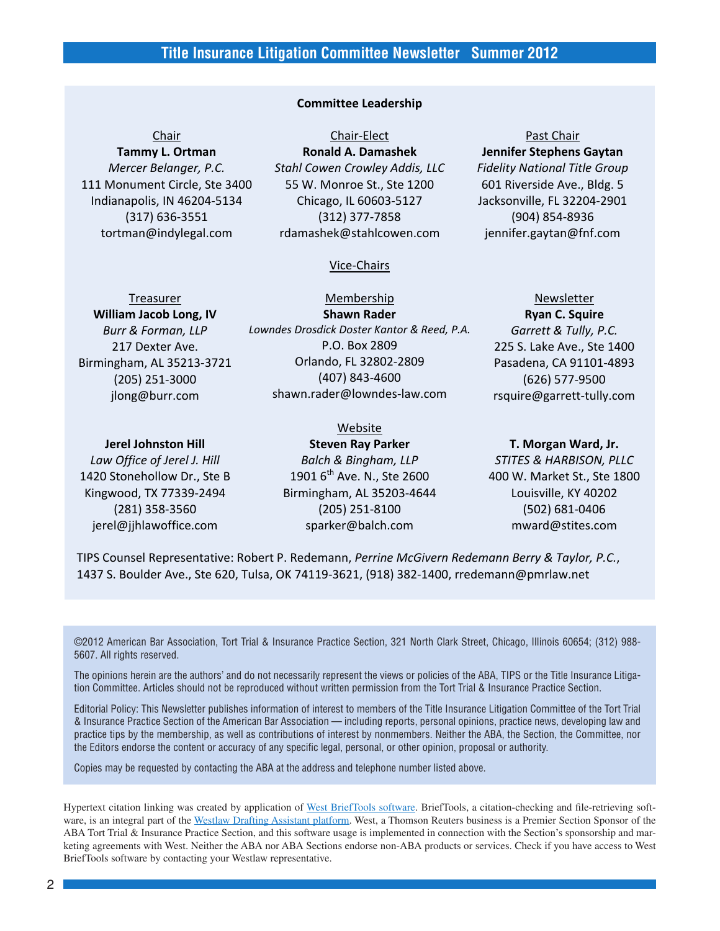#### **Committee Leadership**

**Tammy L. Ortman** *Mercer Belanger, P.C.* 111 Monument Circle, Ste 3400 Indianapolis, IN 46204‐5134 (317) 636‐3551 tortman@indylegal.com

**Chair** Chair–Elect **Past Chair Ronald A. Damashek** *Stahl Cowen Crowley Addis, LLC* 55 W. Monroe St., Ste 1200 Chicago, IL 60603‐5127 (312) 377‐7858 rdamashek@stahlcowen.com

#### Vice‐Chairs

**William Jacob Long, IV** *Burr & Forman, LLP* 217 Dexter Ave. Birmingham, AL 35213‐3721 (205) 251‐3000 jlong@burr.com

**Shawn Rader** *Lowndes Drosdick Doster Kantor & Reed, P.A.* P.O. Box 2809 Orlando, FL 32802‐2809 (407) 843‐4600 shawn.rader@lowndes‐law.com

#### Website

**Jerel Johnston Hill** *Law Office of Jerel J. Hill* 1420 Stonehollow Dr., Ste B

Kingwood, TX 77339‐2494 (281) 358‐3560 jerel@jjhlawoffice.com

## **Steven Ray Parker** *Balch & Bingham, LLP* 1901 6<sup>th</sup> Ave. N., Ste 2600 Birmingham, AL 35203‐4644 (205) 251‐8100 sparker@balch.com

**Jennifer Stephens Gaytan** *Fidelity National Title Group* 601 Riverside Ave., Bldg. 5 Jacksonville, FL 32204‐2901 (904) 854‐8936 jennifer.gaytan@fnf.com

Treasurer Membership Newsletter Newsletter

**Ryan C. Squire** *Garrett & Tully, P.C.* 225 S. Lake Ave., Ste 1400 Pasadena, CA 91101‐4893 (626) 577‐9500 rsquire@garrett‐tully.com

### **T. Morgan Ward, Jr.**

*STITES & HARBISON, PLLC* 400 W. Market St., Ste 1800 Louisville, KY 40202 (502) 681‐0406 mward@stites.com

TIPS Counsel Representative: Robert P. Redemann, *Perrine McGivern Redemann Berry & Taylor, P.C.*, 1437 S. Boulder Ave., Ste 620, Tulsa, OK 74119‐3621, (918) 382‐1400, rredemann@pmrlaw.net

©2012 American Bar Association, Tort Trial & Insurance Practice Section, 321 North Clark Street, Chicago, Illinois 60654; (312) 988- 5607. All rights reserved.

The opinions herein are the authors' and do not necessarily represent the views or policies of the ABA, TIPS or the Title Insurance Litigation Committee. Articles should not be reproduced without written permission from the Tort Trial & Insurance Practice Section.

Editorial Policy: This Newsletter publishes information of interest to members of the Title Insurance Litigation Committee of the Tort Trial & Insurance Practice Section of the American Bar Association — including reports, personal opinions, practice news, developing law and practice tips by the membership, as well as contributions of interest by nonmembers. Neither the ABA, the Section, the Committee, nor the Editors endorse the content or accuracy of any specific legal, personal, or other opinion, proposal or authority.

Copies may be requested by contacting the ABA at the address and telephone number listed above.

Hypertext citation linking was created by application of [West BriefTools software](http://store.westlaw.com/products/services/brief-tools/default.aspx). BriefTools, a citation-checking and file-retrieving soft-ware, is an integral part of the [Westlaw Drafting Assistant platform](http://store.westlaw.com/products/services/westlaw-drafting-assistant/default.aspx). West, a Thomson Reuters business is a Premier Section Sponsor of the ABA Tort Trial & Insurance Practice Section, and this software usage is implemented in connection with the Section's sponsorship and marketing agreements with West. Neither the ABA nor ABA Sections endorse non-ABA products or services. Check if you have access to West BriefTools software by contacting your Westlaw representative.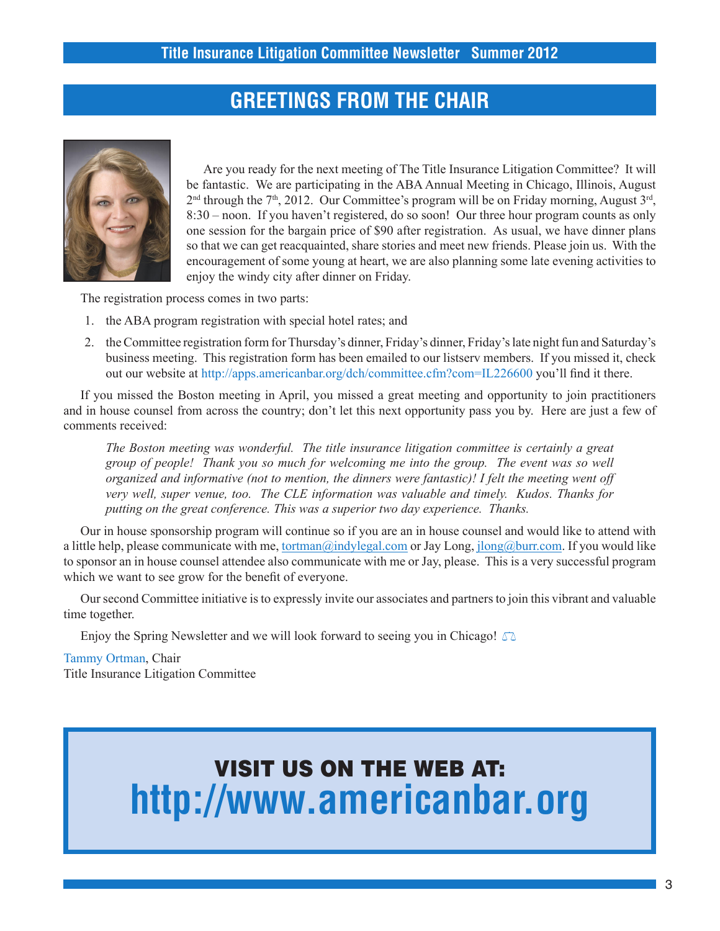## **GREETINGS FROM THE CHAIR**



Are you ready for the next meeting of The Title Insurance Litigation Committee? It will be fantastic. We are participating in the ABA Annual Meeting in Chicago, Illinois, August  $2<sup>nd</sup>$  through the 7<sup>th</sup>, 2012. Our Committee's program will be on Friday morning, August  $3<sup>rd</sup>$ , 8:30 – noon. If you haven't registered, do so soon! Our three hour program counts as only one session for the bargain price of \$90 after registration. As usual, we have dinner plans so that we can get reacquainted, share stories and meet new friends. Please join us. With the encouragement of some young at heart, we are also planning some late evening activities to enjoy the windy city after dinner on Friday.

The registration process comes in two parts:

- 1. the ABA program registration with special hotel rates; and
- 2. the Committee registration form for Thursday's dinner, Friday's dinner, Friday's late night fun and Saturday's business meeting. This registration form has been emailed to our listserv members. If you missed it, check out our website at http://apps.americanbar.org/dch/committee.cfm?com=IL226600 you'll find it there.

If you missed the Boston meeting in April, you missed a great meeting and opportunity to join practitioners and in house counsel from across the country; don't let this next opportunity pass you by. Here are just a few of comments received:

*The Boston meeting was wonderful. The title insurance litigation committee is certainly a great group of people! Thank you so much for welcoming me into the group. The event was so well organized and informative (not to mention, the dinners were fantastic)! I felt the meeting went off very well, super venue, too. The CLE information was valuable and timely. Kudos. Thanks for putting on the great conference. This was a superior two day experience. Thanks.*

Our in house sponsorship program will continue so if you are an in house counsel and would like to attend with a little help, please communicate with me, [tortman@indylegal.com](mailto:tortman@indylegal.com) or Jay Long, [jlong@burr.com](mailto:jlong@burr.com). If you would like to sponsor an in house counsel attendee also communicate with me or Jay, please. This is a very successful program which we want to see grow for the benefit of everyone.

Our second Committee initiative is to expressly invite our associates and partners to join this vibrant and valuable time together.

Enjoy the Spring Newsletter and we will look forward to seeing you in Chicago!  $\triangle$ 

Tammy Ortman, Chair Title Insurance Litigation Committee

# VISIT US ON THE WEB AT: **http://www.americanbar.org**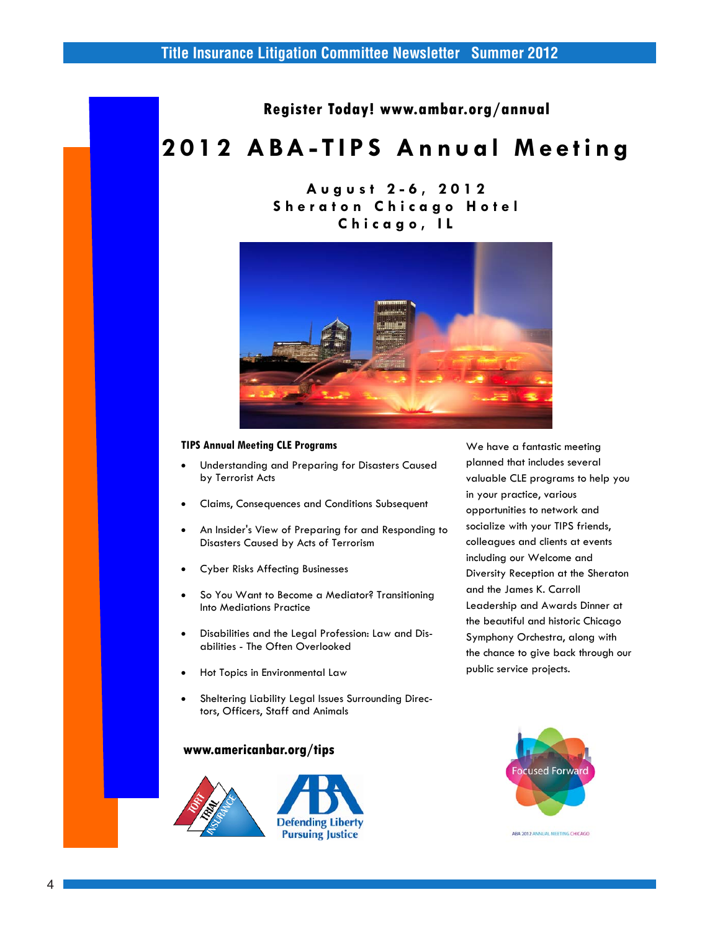**Register Today! www.ambar.org/annual** 

# **2 0 1 2 A B A - T I P S A n n u a l M e e t i n g**

## **A u g u s t 2 - 6 , 2 0 1 2 Sheraton Chicago Hotel C h i c a g o , I L**



#### **TIPS Annual Meeting CLE Programs**

- Understanding and Preparing for Disasters Caused by Terrorist Acts
- Claims, Consequences and Conditions Subsequent
- An Insider's View of Preparing for and Responding to Disasters Caused by Acts of Terrorism
- Cyber Risks Affecting Businesses
- So You Want to Become a Mediator? Transitioning Into Mediations Practice
- Disabilities and the Legal Profession: Law and Disabilities - The Often Overlooked
- Hot Topics in Environmental Law
- Sheltering Liability Legal Issues Surrounding Directors, Officers, Staff and Animals

### **www.americanbar.org/tips**



We have a fantastic meeting planned that includes several valuable CLE programs to help you in your practice, various opportunities to network and socialize with your TIPS friends, colleagues and clients at events including our Welcome and Diversity Reception at the Sheraton and the James K. Carroll Leadership and Awards Dinner at the beautiful and historic Chicago Symphony Orchestra, along with the chance to give back through our public service projects.

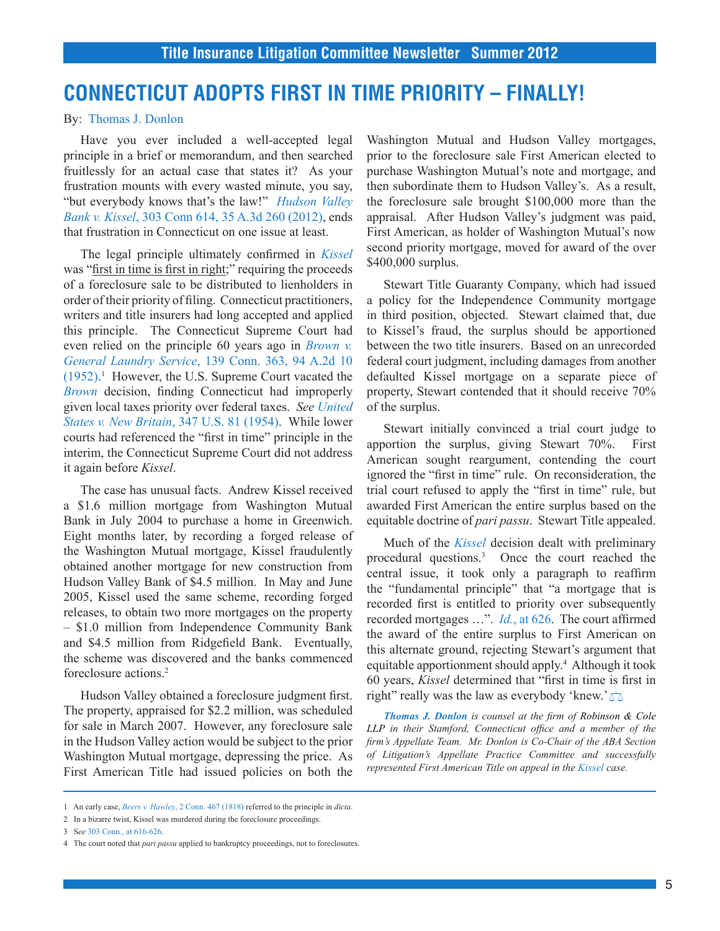## **CONNECTICUT ADOPTS FIRST IN TIME PRIORITY – FINALLY!**

#### By: Thomas J. Donlon

Have you ever included a well-accepted legal principle in a brief or memorandum, and then searched fruitlessly for an actual case that states it? As your frustration mounts with every wasted minute, you say, "but everybody knows that's the law!" *[Hudson Valley](http://www.westlaw.com/find/default.wl?ft=Y&db=0007691&rs=ap2.0&rp=%2ffind%2fdefault.wl&serialnum=2026939431&fn=_top&findtype=Y&vr=2.0&wbtoolsId=2026939431&HistoryType=F) Bank v. Kissel*[, 303 Conn 614, 35 A.3d 260 \(2012\)](http://www.westlaw.com/find/default.wl?ft=Y&db=0007691&rs=ap2.0&rp=%2ffind%2fdefault.wl&serialnum=2026939431&fn=_top&findtype=Y&vr=2.0&wbtoolsId=2026939431&HistoryType=F), ends that frustration in Connecticut on one issue at least.

The legal principle ultimately confirmed in *[Kissel](http://www.westlaw.com/find/default.wl?ft=Y&db=0007691&rs=ap2.0&rp=%2ffind%2fdefault.wl&serialnum=2026939431&fn=_top&findtype=Y&vr=2.0&wbtoolsId=2026939431&HistoryType=F)* was "first in time is first in right;" requiring the proceeds of a foreclosure sale to be distributed to lienholders in order of their priority of filing. Connecticut practitioners, writers and title insurers had long accepted and applied this principle. The Connecticut Supreme Court had even relied on the principle 60 years ago in *[Brown v.](http://www.westlaw.com/find/default.wl?ft=Y&db=0000162&rs=ap2.0&rp=%2ffind%2fdefault.wl&serialnum=1953111727&fn=_top&findtype=Y&vr=2.0&wbtoolsId=1953111727&HistoryType=F) General Laundry Service*[, 139 Conn. 363, 94 A.2d 10](http://www.westlaw.com/find/default.wl?ft=Y&db=0000162&rs=ap2.0&rp=%2ffind%2fdefault.wl&serialnum=1953111727&fn=_top&findtype=Y&vr=2.0&wbtoolsId=1953111727&HistoryType=F)  [\(1952\)](http://www.westlaw.com/find/default.wl?ft=Y&db=0000162&rs=ap2.0&rp=%2ffind%2fdefault.wl&serialnum=1953111727&fn=_top&findtype=Y&vr=2.0&wbtoolsId=1953111727&HistoryType=F). 1 However, the U.S. Supreme Court vacated the *[Brown](http://www.westlaw.com/find/default.wl?ft=Y&db=0000162&rs=ap2.0&rp=%2ffind%2fdefault.wl&serialnum=1953111727&fn=_top&findtype=Y&vr=2.0&wbtoolsId=1953111727&HistoryType=F)* decision, finding Connecticut had improperly given local taxes priority over federal taxes. *See [United](http://www.westlaw.com/find/default.wl?ft=Y&db=0000780&rs=ap2.0&rp=%2ffind%2fdefault.wl&serialnum=1954120786&fn=_top&findtype=Y&vr=2.0&wbtoolsId=1954120786&HistoryType=F) [States v. New Britain](http://www.westlaw.com/find/default.wl?ft=Y&db=0000780&rs=ap2.0&rp=%2ffind%2fdefault.wl&serialnum=1954120786&fn=_top&findtype=Y&vr=2.0&wbtoolsId=1954120786&HistoryType=F)*, 347 U.S. 81 (1954). While lower courts had referenced the "first in time" principle in the interim, the Connecticut Supreme Court did not address it again before *Kissel*.

The case has unusual facts. Andrew Kissel received a \$1.6 million mortgage from Washington Mutual Bank in July 2004 to purchase a home in Greenwich. Eight months later, by recording a forged release of the Washington Mutual mortgage, Kissel fraudulently obtained another mortgage for new construction from Hudson Valley Bank of \$4.5 million. In May and June 2005, Kissel used the same scheme, recording forged releases, to obtain two more mortgages on the property – \$1.0 million from Independence Community Bank and \$4.5 million from Ridgefield Bank. Eventually, the scheme was discovered and the banks commenced foreclosure actions.2

Hudson Valley obtained a foreclosure judgment first. The property, appraised for \$2.2 million, was scheduled for sale in March 2007. However, any foreclosure sale in the Hudson Valley action would be subject to the prior Washington Mutual mortgage, depressing the price. As First American Title had issued policies on both the

Washington Mutual and Hudson Valley mortgages, prior to the foreclosure sale First American elected to purchase Washington Mutual's note and mortgage, and then subordinate them to Hudson Valley's. As a result, the foreclosure sale brought \$100,000 more than the appraisal. After Hudson Valley's judgment was paid, First American, as holder of Washington Mutual's now second priority mortgage, moved for award of the over \$400,000 surplus.

Stewart Title Guaranty Company, which had issued a policy for the Independence Community mortgage in third position, objected. Stewart claimed that, due to Kissel's fraud, the surplus should be apportioned between the two title insurers. Based on an unrecorded federal court judgment, including damages from another defaulted Kissel mortgage on a separate piece of property, Stewart contended that it should receive 70% of the surplus.

Stewart initially convinced a trial court judge to apportion the surplus, giving Stewart 70%. First American sought reargument, contending the court ignored the "first in time" rule. On reconsideration, the trial court refused to apply the "first in time" rule, but awarded First American the entire surplus based on the equitable doctrine of *pari passu*. Stewart Title appealed.

Much of the *[Kissel](http://www.westlaw.com/find/default.wl?ft=Y&db=0007691&rs=ap2.0&rp=%2ffind%2fdefault.wl&serialnum=2026939431&fn=_top&findtype=Y&vr=2.0&wbtoolsId=2026939431&HistoryType=F)* decision dealt with preliminary procedural questions.3 Once the court reached the central issue, it took only a paragraph to reaffirm the "fundamental principle" that "a mortgage that is recorded first is entitled to priority over subsequently recorded mortgages …". *Id.*[, at 626.](http://www.westlaw.com/find/default.wl?ft=Y&db=0000273&rs=ap2.0&rp=%2ffind%2fdefault.wl&serialnum=2026939431&fn=_top&findtype=Y&vr=2.0&wbtoolsId=2026939431&HistoryType=F) The court affirmed the award of the entire surplus to First American on this alternate ground, rejecting Stewart's argument that equitable apportionment should apply.<sup>4</sup> Although it took 60 years, *Kissel* determined that "first in time is first in right" really was the law as everybody 'knew.' $\square$ 

*Thomas J. Donlon is counsel at the firm of Robinson & Cole LLP in their Stamford, Connecticut office and a member of the firm's Appellate Team. Mr. Donlon is Co-Chair of the ABA Section of Litigation's Appellate Practice Committee and successfully represented First American Title on appeal in the [Kissel](http://www.westlaw.com/find/default.wl?ft=Y&db=0007691&rs=ap2.0&rp=%2ffind%2fdefault.wl&serialnum=2026939431&fn=_top&findtype=Y&vr=2.0&wbtoolsId=2026939431&HistoryType=F) case.*

<sup>1</sup> An early case, *Beers v. Hawley*[, 2 Conn. 467 \(1818\)](http://www.westlaw.com/find/default.wl?ft=Y&db=0000273&rs=ap2.0&rp=%2ffind%2fdefault.wl&serialnum=1818023743&fn=_top&findtype=Y&vr=2.0&wbtoolsId=1818023743&HistoryType=F) referred to the principle in *dicta*.

<sup>2</sup> In a bizarre twist, Kissel was murdered during the foreclosure proceedings.

<sup>3</sup> S*ee* [303 Conn., at 616-626.](http://www.westlaw.com/find/default.wl?ft=Y&db=0000273&rs=ap2.0&rp=%2ffind%2fdefault.wl&serialnum=2026939431&fn=_top&findtype=Y&vr=2.0&wbtoolsId=2026939431&HistoryType=F)

<sup>4</sup> The court noted that *pari passu* applied to bankruptcy proceedings, not to foreclosures.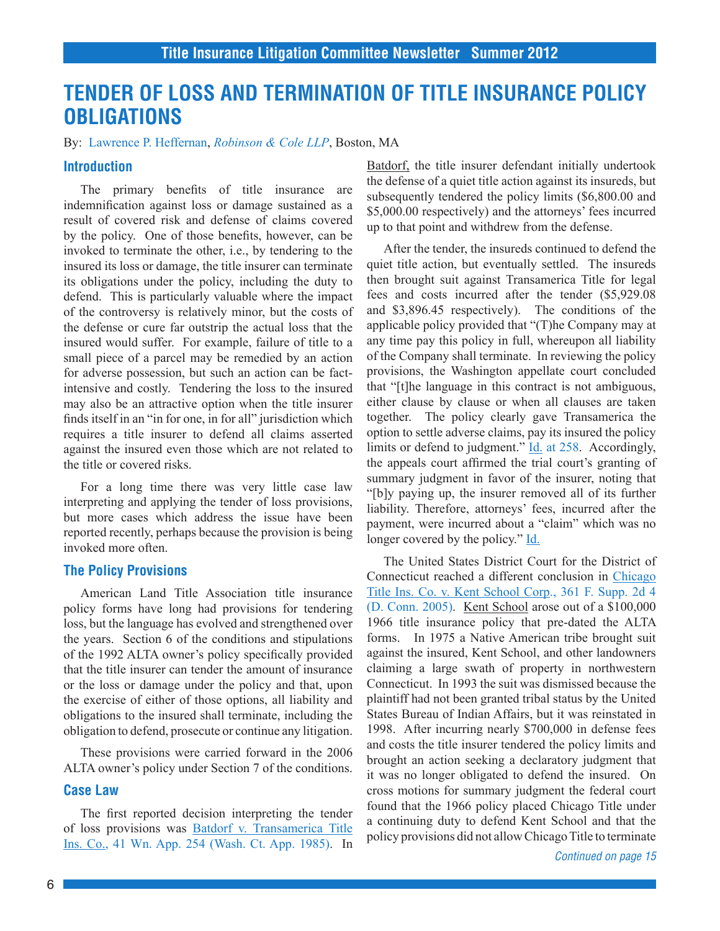## **TENDER OF LOSS AND TERMINATION OF TITLE INSURANCE POLICY OBLIGATIONS**

By: Lawrence P. Heffernan, *Robinson & Cole LLP*, Boston, MA

### **Introduction**

The primary benefits of title insurance are indemnification against loss or damage sustained as a result of covered risk and defense of claims covered by the policy. One of those benefits, however, can be invoked to terminate the other, i.e., by tendering to the insured its loss or damage, the title insurer can terminate its obligations under the policy, including the duty to defend. This is particularly valuable where the impact of the controversy is relatively minor, but the costs of the defense or cure far outstrip the actual loss that the insured would suffer. For example, failure of title to a small piece of a parcel may be remedied by an action for adverse possession, but such an action can be factintensive and costly. Tendering the loss to the insured may also be an attractive option when the title insurer finds itself in an "in for one, in for all" jurisdiction which requires a title insurer to defend all claims asserted against the insured even those which are not related to the title or covered risks.

For a long time there was very little case law interpreting and applying the tender of loss provisions, but more cases which address the issue have been reported recently, perhaps because the provision is being invoked more often.

### **The Policy Provisions**

American Land Title Association title insurance policy forms have long had provisions for tendering loss, but the language has evolved and strengthened over the years. Section 6 of the conditions and stipulations of the 1992 ALTA owner's policy specifically provided that the title insurer can tender the amount of insurance or the loss or damage under the policy and that, upon the exercise of either of those options, all liability and obligations to the insured shall terminate, including the obligation to defend, prosecute or continue any litigation.

These provisions were carried forward in the 2006 ALTA owner's policy under Section 7 of the conditions.

## **Case Law**

The first reported decision interpreting the tender of loss provisions was [Batdorf v. Transamerica Title](http://www.westlaw.com/find/default.wl?ft=Y&db=0000800&rs=ap2.0&rp=%2ffind%2fdefault.wl&serialnum=1985138148&fn=_top&findtype=Y&vr=2.0&wbtoolsId=1985138148&HistoryType=F) [Ins. Co., 41 Wn. App. 254 \(Wash. Ct. App. 1985\)](http://www.westlaw.com/find/default.wl?ft=Y&db=0000800&rs=ap2.0&rp=%2ffind%2fdefault.wl&serialnum=1985138148&fn=_top&findtype=Y&vr=2.0&wbtoolsId=1985138148&HistoryType=F). In

Batdorf, the title insurer defendant initially undertook the defense of a quiet title action against its insureds, but subsequently tendered the policy limits (\$6,800.00 and \$5,000.00 respectively) and the attorneys' fees incurred up to that point and withdrew from the defense.

After the tender, the insureds continued to defend the quiet title action, but eventually settled. The insureds then brought suit against Transamerica Title for legal fees and costs incurred after the tender (\$5,929.08 and \$3,896.45 respectively). The conditions of the applicable policy provided that "(T)he Company may at any time pay this policy in full, whereupon all liability of the Company shall terminate. In reviewing the policy provisions, the Washington appellate court concluded that "[t]he language in this contract is not ambiguous, either clause by clause or when all clauses are taken together. The policy clearly gave Transamerica the option to settle adverse claims, pay its insured the policy limits or defend to judgment."  $\underline{Id}$  at 258. Accordingly, the appeals court affirmed the trial court's granting of summary judgment in favor of the insurer, noting that "[b]y paying up, the insurer removed all of its further liability. Therefore, attorneys' fees, incurred after the payment, were incurred about a "claim" which was no longer covered by the policy." [Id.](http://www.westlaw.com/find/default.wl?ft=Y&db=0000800&rs=ap2.0&rp=%2ffind%2fdefault.wl&serialnum=1985138148&fn=_top&findtype=Y&vr=2.0&wbtoolsId=1985138148&HistoryType=F)

The United States District Court for the District of Connecticut reached a different conclusion in [Chicago](http://www.westlaw.com/find/default.wl?ft=Y&db=0004637&rs=ap2.0&rp=%2ffind%2fdefault.wl&serialnum=2006373622&fn=_top&findtype=Y&vr=2.0&wbtoolsId=2006373622&HistoryType=F) [Title Ins. Co. v. Kent School Corp., 361 F. Supp. 2d 4](http://www.westlaw.com/find/default.wl?ft=Y&db=0004637&rs=ap2.0&rp=%2ffind%2fdefault.wl&serialnum=2006373622&fn=_top&findtype=Y&vr=2.0&wbtoolsId=2006373622&HistoryType=F) [\(D. Conn. 2005\)](http://www.westlaw.com/find/default.wl?ft=Y&db=0004637&rs=ap2.0&rp=%2ffind%2fdefault.wl&serialnum=2006373622&fn=_top&findtype=Y&vr=2.0&wbtoolsId=2006373622&HistoryType=F). Kent School arose out of a \$100,000 1966 title insurance policy that pre-dated the ALTA forms. In 1975 a Native American tribe brought suit against the insured, Kent School, and other landowners claiming a large swath of property in northwestern Connecticut. In 1993 the suit was dismissed because the plaintiff had not been granted tribal status by the United States Bureau of Indian Affairs, but it was reinstated in 1998. After incurring nearly \$700,000 in defense fees and costs the title insurer tendered the policy limits and brought an action seeking a declaratory judgment that it was no longer obligated to defend the insured. On cross motions for summary judgment the federal court found that the 1966 policy placed Chicago Title under a continuing duty to defend Kent School and that the policy provisions did not allow Chicago Title to terminate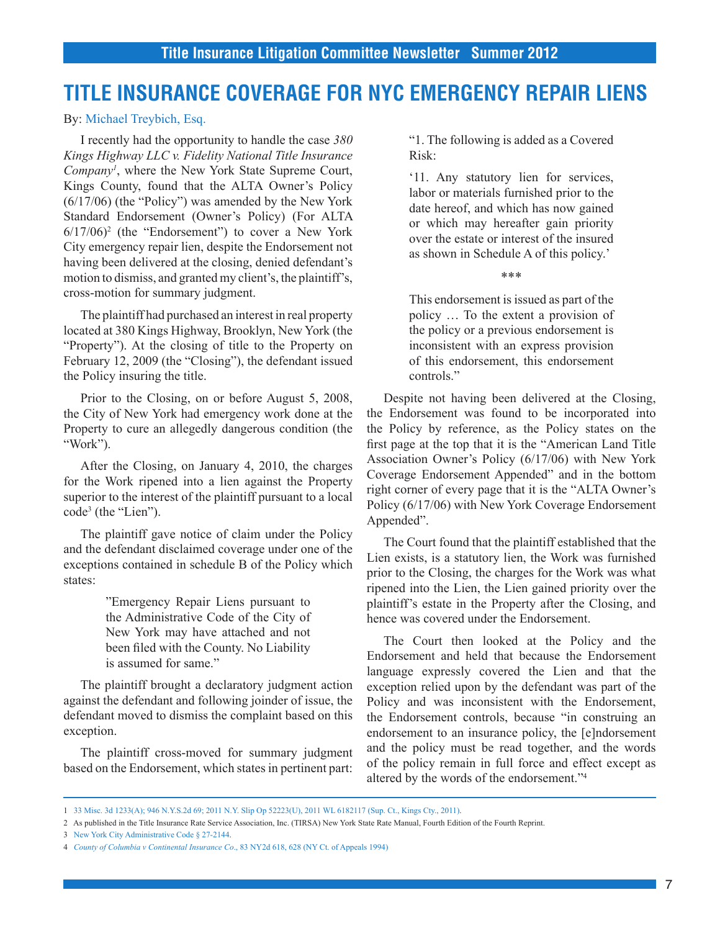## **TITLE INSURANCE COVERAGE FOR NYC EMERGENCY REPAIR LIENS**

By: Michael Treybich, Esq.

I recently had the opportunity to handle the case *380 Kings Highway LLC v. Fidelity National Title Insurance Company1* , where the New York State Supreme Court, Kings County, found that the ALTA Owner's Policy (6/17/06) (the "Policy") was amended by the New York Standard Endorsement (Owner's Policy) (For ALTA  $6/17/06$ <sup>2</sup> (the "Endorsement") to cover a New York City emergency repair lien, despite the Endorsement not having been delivered at the closing, denied defendant's motion to dismiss, and granted my client's, the plaintiff's, cross-motion for summary judgment.

The plaintiff had purchased an interest in real property located at 380 Kings Highway, Brooklyn, New York (the "Property"). At the closing of title to the Property on February 12, 2009 (the "Closing"), the defendant issued the Policy insuring the title.

Prior to the Closing, on or before August 5, 2008, the City of New York had emergency work done at the Property to cure an allegedly dangerous condition (the "Work").

After the Closing, on January 4, 2010, the charges for the Work ripened into a lien against the Property superior to the interest of the plaintiff pursuant to a local code3 (the "Lien").

The plaintiff gave notice of claim under the Policy and the defendant disclaimed coverage under one of the exceptions contained in schedule B of the Policy which states:

> "Emergency Repair Liens pursuant to the Administrative Code of the City of New York may have attached and not been filed with the County. No Liability is assumed for same."

The plaintiff brought a declaratory judgment action against the defendant and following joinder of issue, the defendant moved to dismiss the complaint based on this exception.

The plaintiff cross-moved for summary judgment based on the Endorsement, which states in pertinent part:

"1. The following is added as a Covered Risk:

'11. Any statutory lien for services, labor or materials furnished prior to the date hereof, and which has now gained or which may hereafter gain priority over the estate or interest of the insured as shown in Schedule A of this policy.'

\*\*\*

This endorsement is issued as part of the policy … To the extent a provision of the policy or a previous endorsement is inconsistent with an express provision of this endorsement, this endorsement controls."

Despite not having been delivered at the Closing, the Endorsement was found to be incorporated into the Policy by reference, as the Policy states on the first page at the top that it is the "American Land Title Association Owner's Policy (6/17/06) with New York Coverage Endorsement Appended" and in the bottom right corner of every page that it is the "ALTA Owner's Policy (6/17/06) with New York Coverage Endorsement Appended".

The Court found that the plaintiff established that the Lien exists, is a statutory lien, the Work was furnished prior to the Closing, the charges for the Work was what ripened into the Lien, the Lien gained priority over the plaintiff's estate in the Property after the Closing, and hence was covered under the Endorsement.

The Court then looked at the Policy and the Endorsement and held that because the Endorsement language expressly covered the Lien and that the exception relied upon by the defendant was part of the Policy and was inconsistent with the Endorsement, the Endorsement controls, because "in construing an endorsement to an insurance policy, the [e]ndorsement and the policy must be read together, and the words of the policy remain in full force and effect except as altered by the words of the endorsement."4

<sup>1</sup> [33 Misc. 3d 1233\(A\); 946 N.Y.S.2d 69; 2011 N.Y. Slip Op 52223\(U\), 2011 WL 6182117 \(Sup. Ct., Kings Cty., 2011\).](http://www.westlaw.com/find/default.wl?ft=Y&db=0000999&rs=ap2.0&rp=%2ffind%2fdefault.wl&serialnum=2026674149&fn=_top&findtype=Y&vr=2.0&wbtoolsId=2026674149&HistoryType=F)

<sup>2</sup> As published in the Title Insurance Rate Service Association, Inc. (TIRSA) New York State Rate Manual, Fourth Edition of the Fourth Reprint.

<sup>3</sup> [New York City Administrative Code § 27-2144](http://www.westlaw.com/find/default.wl?ft=L&docname=NYCS27-2144&rs=ap2.0&rp=%2ffind%2fdefault.wl&fn=_top&findtype=L&vr=2.0&db=1015598&wbtoolsId=NYCS27-2144&HistoryType=F).

<sup>4</sup> *[County of Columbia v Continental Insurance Co](http://www.westlaw.com/find/default.wl?ft=Y&db=0000605&rs=ap2.0&rp=%2ffind%2fdefault.wl&serialnum=1994107016&fn=_top&findtype=Y&vr=2.0&wbtoolsId=1994107016&HistoryType=F)*., 83 NY2d 618, 628 (NY Ct. of Appeals 1994)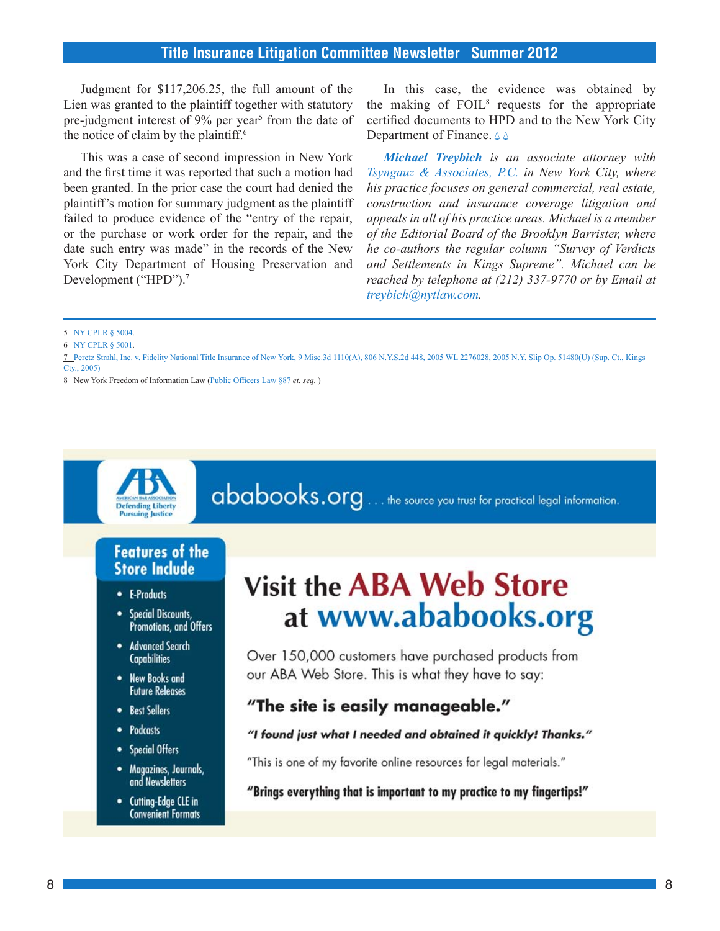Judgment for \$117,206.25, the full amount of the Lien was granted to the plaintiff together with statutory pre-judgment interest of 9% per year<sup>5</sup> from the date of the notice of claim by the plaintiff.<sup>6</sup>

This was a case of second impression in New York and the first time it was reported that such a motion had been granted. In the prior case the court had denied the plaintiff's motion for summary judgment as the plaintiff failed to produce evidence of the "entry of the repair, or the purchase or work order for the repair, and the date such entry was made" in the records of the New York City Department of Housing Preservation and Development ("HPD").<sup>7</sup>

In this case, the evidence was obtained by the making of FOIL<sup>8</sup> requests for the appropriate certified documents to HPD and to the New York City Department of Finance.  $\Box$ 

*Michael Treybich is an associate attorney with Tsyngauz & Associates, P.C. in New York City, where his practice focuses on general commercial, real estate, construction and insurance coverage litigation and appeals in all of his practice areas. Michael is a member of the Editorial Board of the Brooklyn Barrister, where he co-authors the regular column "Survey of Verdicts and Settlements in Kings Supreme". Michael can be reached by telephone at (212) 337-9770 or by Email at treybich@nytlaw.com.*

5 [NY CPLR § 5004.](http://www.westlaw.com/find/default.wl?ft=L&docname=NYCPS5004&rs=ap2.0&rp=%2ffind%2fdefault.wl&fn=_top&findtype=L&vr=2.0&db=1000059&wbtoolsId=NYCPS5004&HistoryType=F)

- 6 N[Y CPLR § 5001.](http://www.westlaw.com/find/default.wl?ft=L&docname=NYCPS5001&rs=ap2.0&rp=%2ffind%2fdefault.wl&fn=_top&findtype=L&vr=2.0&db=1000059&wbtoolsId=NYCPS5001&HistoryType=F)
- 7 P[eretz Strahl, Inc. v. Fidelity National Title Insurance of New York, 9 Misc.3d 1110\(A\), 806 N.Y.S.2d 448, 2005 WL 2276028, 2005 N.Y. Slip Op. 51480\(U\) \(Sup. Ct., Kings](http://www.westlaw.com/find/default.wl?ft=Y&db=0004603&rs=ap2.0&rp=%2ffind%2fdefault.wl&serialnum=2007329601&fn=_top&findtype=Y&vr=2.0&wbtoolsId=2007329601&HistoryType=F)  [Cty., 2005\)](http://www.westlaw.com/find/default.wl?ft=Y&db=0004603&rs=ap2.0&rp=%2ffind%2fdefault.wl&serialnum=2007329601&fn=_top&findtype=Y&vr=2.0&wbtoolsId=2007329601&HistoryType=F)

8 New York Freedom of Information Law (P[ublic Officers Law §87](http://www.westlaw.com/Find/Default.wl?rs=dfa1.0&vr=2.0&DB=NY-ST-ANN&DocName=NYPOS87&FindType=L) *et. seq.* )



# ababooks.org . . . the source you trust for practical legal information.

## **Features of the Store Include**

- E-Products
- Special Discounts, Promotions, and Offers
- Advanced Search **Capabilities**
- New Books and **Future Releases**
- Best Sellers
- Podcasts
- Special Offers
- Magazines, Journals, and Newsletters
- Cutting-Edge CLE in **Convenient Formats**

# **Visit the ABA Web Store** at www.ababooks.org

Over 150,000 customers have purchased products from our ABA Web Store. This is what they have to say:

## "The site is easily manageable."

### "I found just what I needed and obtained it quickly! Thanks."

"This is one of my favorite online resources for legal materials."

"Brings everything that is important to my practice to my fingertips!"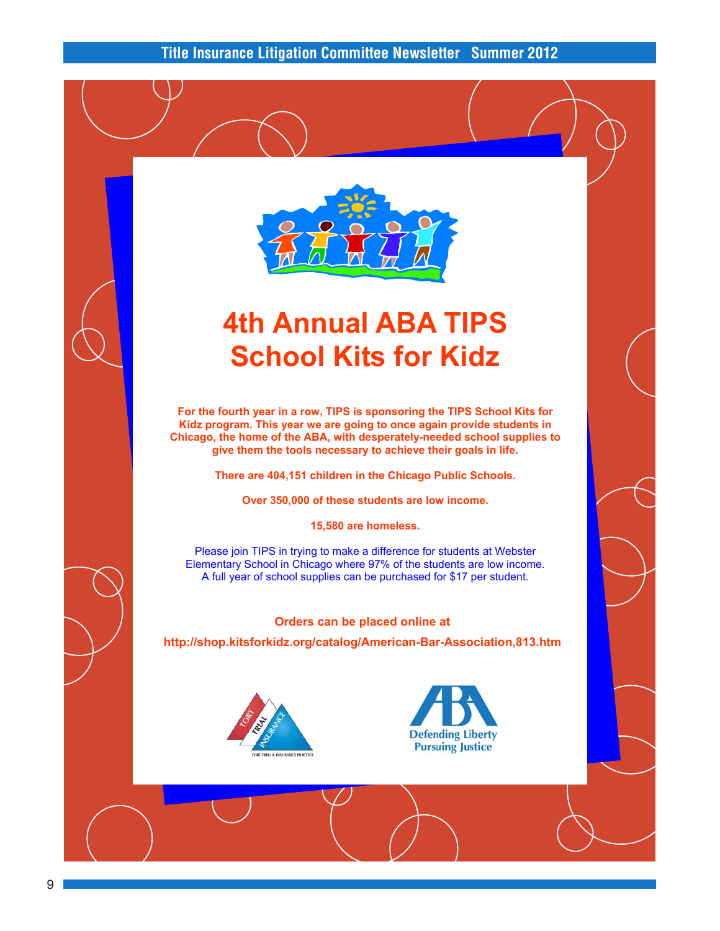

# **4th Annual ABA TIPS School Kits for Kidz**

**For the fourth year in a row, TIPS is sponsoring the TIPS School Kits for Kidz program. This year we are going to once again provide students in Chicago, the home of the ABA, with desperately-needed school supplies to give them the tools necessary to achieve their goals in life.** 

**There are 404,151 children in the Chicago Public Schools.** 

**Over 350,000 of these students are low income.** 

**15,580 are homeless.** 

Please join TIPS in trying to make a difference for students at Webster Elementary School in Chicago where 97% of the students are low income. A full year of school supplies can be purchased for \$17 per student.

### **Orders can be placed online at**

**http://shop.kitsforkidz.org/catalog/American-Bar-Association,813.htm**



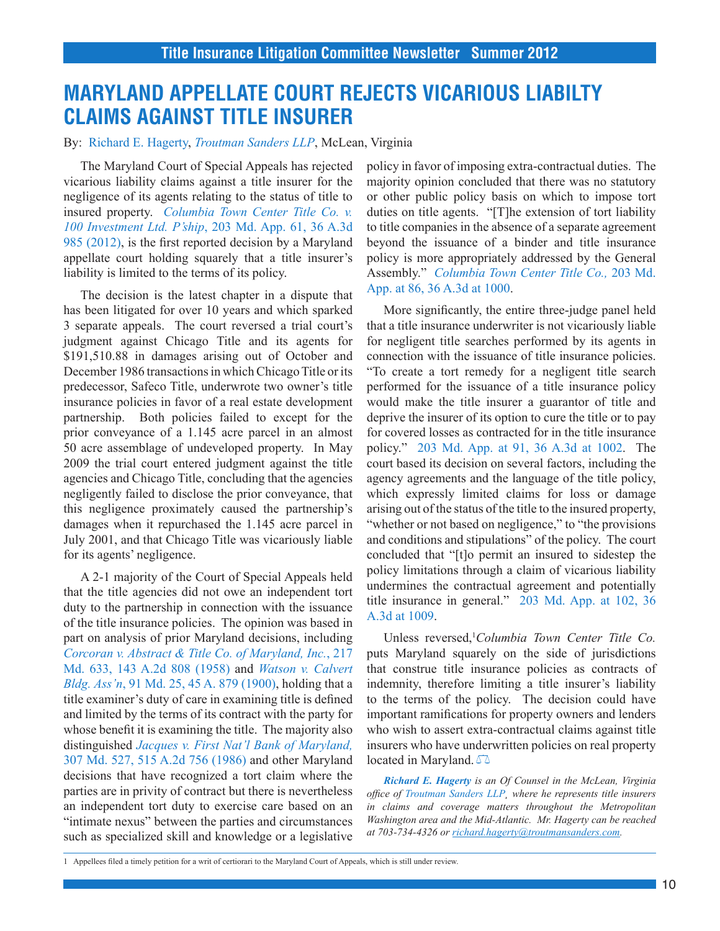## **MARYLAND APPELLATE COURT REJECTS VICARIOUS LIABILTY CLAIMS AGAINST TITLE INSURER**

By: Richard E. Hagerty, *Troutman Sanders LLP*, McLean, Virginia

The Maryland Court of Special Appeals has rejected vicarious liability claims against a title insurer for the negligence of its agents relating to the status of title to insured property. *[Columbia Town Center Title Co. v.](http://www.westlaw.com/find/default.wl?ft=Y&db=0007691&rs=ap2.0&rp=%2ffind%2fdefault.wl&serialnum=2026983081&fn=_top&findtype=Y&vr=2.0&wbtoolsId=2026983081&HistoryType=F)  100 Investment Ltd. P'ship*[, 203 Md. App. 61, 36 A.3d](http://www.westlaw.com/find/default.wl?ft=Y&db=0007691&rs=ap2.0&rp=%2ffind%2fdefault.wl&serialnum=2026983081&fn=_top&findtype=Y&vr=2.0&wbtoolsId=2026983081&HistoryType=F)  [985 \(2012\),](http://www.westlaw.com/find/default.wl?ft=Y&db=0007691&rs=ap2.0&rp=%2ffind%2fdefault.wl&serialnum=2026983081&fn=_top&findtype=Y&vr=2.0&wbtoolsId=2026983081&HistoryType=F) is the first reported decision by a Maryland appellate court holding squarely that a title insurer's liability is limited to the terms of its policy.

The decision is the latest chapter in a dispute that has been litigated for over 10 years and which sparked 3 separate appeals. The court reversed a trial court's judgment against Chicago Title and its agents for \$191,510.88 in damages arising out of October and December 1986 transactions in which Chicago Title or its predecessor, Safeco Title, underwrote two owner's title insurance policies in favor of a real estate development partnership. Both policies failed to except for the prior conveyance of a 1.145 acre parcel in an almost 50 acre assemblage of undeveloped property. In May 2009 the trial court entered judgment against the title agencies and Chicago Title, concluding that the agencies negligently failed to disclose the prior conveyance, that this negligence proximately caused the partnership's damages when it repurchased the 1.145 acre parcel in July 2001, and that Chicago Title was vicariously liable for its agents' negligence.

A 2-1 majority of the Court of Special Appeals held that the title agencies did not owe an independent tort duty to the partnership in connection with the issuance of the title insurance policies. The opinion was based in part on analysis of prior Maryland decisions, including *[Corcoran v. Abstract & Title Co. of Maryland, Inc.](http://www.westlaw.com/find/default.wl?ft=Y&db=0000162&rs=ap2.0&rp=%2ffind%2fdefault.wl&serialnum=1958107290&fn=_top&findtype=Y&vr=2.0&wbtoolsId=1958107290&HistoryType=F)*, 217 [Md. 633, 143 A.2d 808 \(1958\)](http://www.westlaw.com/find/default.wl?ft=Y&db=0000162&rs=ap2.0&rp=%2ffind%2fdefault.wl&serialnum=1958107290&fn=_top&findtype=Y&vr=2.0&wbtoolsId=1958107290&HistoryType=F) and *[Watson v. Calvert](http://www.westlaw.com/find/default.wl?ft=Y&db=0000161&rs=ap2.0&rp=%2ffind%2fdefault.wl&serialnum=1900015092&fn=_top&findtype=Y&vr=2.0&wbtoolsId=1900015092&HistoryType=F) Bldg. Ass'n*[, 91 Md. 25, 45 A. 879 \(1900\),](http://www.westlaw.com/find/default.wl?ft=Y&db=0000161&rs=ap2.0&rp=%2ffind%2fdefault.wl&serialnum=1900015092&fn=_top&findtype=Y&vr=2.0&wbtoolsId=1900015092&HistoryType=F) holding that a title examiner's duty of care in examining title is defined and limited by the terms of its contract with the party for whose benefit it is examining the title. The majority also distinguished *[Jacques v. First Nat'l Bank of Maryland,](http://www.westlaw.com/find/default.wl?ft=Y&db=0000162&rs=ap2.0&rp=%2ffind%2fdefault.wl&serialnum=1986150629&fn=_top&findtype=Y&vr=2.0&wbtoolsId=1986150629&HistoryType=F)* [307 Md. 527, 515 A.2d 756 \(1986\)](http://www.westlaw.com/find/default.wl?ft=Y&db=0000162&rs=ap2.0&rp=%2ffind%2fdefault.wl&serialnum=1986150629&fn=_top&findtype=Y&vr=2.0&wbtoolsId=1986150629&HistoryType=F) and other Maryland decisions that have recognized a tort claim where the parties are in privity of contract but there is nevertheless an independent tort duty to exercise care based on an "intimate nexus" between the parties and circumstances such as specialized skill and knowledge or a legislative

policy in favor of imposing extra-contractual duties. The majority opinion concluded that there was no statutory or other public policy basis on which to impose tort duties on title agents. "[T]he extension of tort liability to title companies in the absence of a separate agreement beyond the issuance of a binder and title insurance policy is more appropriately addressed by the General Assembly." *[Columbia Town Center Title Co.,](http://www.westlaw.com/find/default.wl?ft=Y&db=0007691&rs=ap2.0&rp=%2ffind%2fdefault.wl&serialnum=2026983081&fn=_top&findtype=Y&vr=2.0&wbtoolsId=2026983081&HistoryType=F)* 203 Md. [App. at 86, 36 A.3d at 1000.](http://www.westlaw.com/find/default.wl?ft=Y&db=0007691&rs=ap2.0&rp=%2ffind%2fdefault.wl&serialnum=2026983081&fn=_top&findtype=Y&vr=2.0&wbtoolsId=2026983081&HistoryType=F)

More significantly, the entire three-judge panel held that a title insurance underwriter is not vicariously liable for negligent title searches performed by its agents in connection with the issuance of title insurance policies. "To create a tort remedy for a negligent title search performed for the issuance of a title insurance policy would make the title insurer a guarantor of title and deprive the insurer of its option to cure the title or to pay for covered losses as contracted for in the title insurance policy." [203 Md. App. at 91, 36 A.3d at 1002.](http://www.westlaw.com/find/default.wl?ft=Y&db=0007691&rs=ap2.0&rp=%2ffind%2fdefault.wl&serialnum=2026983081&fn=_top&findtype=Y&vr=2.0&wbtoolsId=2026983081&HistoryType=F) The court based its decision on several factors, including the agency agreements and the language of the title policy, which expressly limited claims for loss or damage arising out of the status of the title to the insured property, "whether or not based on negligence," to "the provisions and conditions and stipulations" of the policy. The court concluded that "[t]o permit an insured to sidestep the policy limitations through a claim of vicarious liability undermines the contractual agreement and potentially title insurance in general." [203 Md. App. at 102, 36](http://www.westlaw.com/find/default.wl?ft=Y&db=0007691&rs=ap2.0&rp=%2ffind%2fdefault.wl&serialnum=2026983081&fn=_top&findtype=Y&vr=2.0&wbtoolsId=2026983081&HistoryType=F)  [A.3d at 1009](http://www.westlaw.com/find/default.wl?ft=Y&db=0007691&rs=ap2.0&rp=%2ffind%2fdefault.wl&serialnum=2026983081&fn=_top&findtype=Y&vr=2.0&wbtoolsId=2026983081&HistoryType=F).

Unless reversed,<sup>1</sup>Columbia Town Center Title Co. puts Maryland squarely on the side of jurisdictions that construe title insurance policies as contracts of indemnity, therefore limiting a title insurer's liability to the terms of the policy. The decision could have important ramifications for property owners and lenders who wish to assert extra-contractual claims against title insurers who have underwritten policies on real property located in Maryland.  $\sqrt{2}$ 

*Richard E. Hagerty is an Of Counsel in the McLean, Virginia office of Troutman Sanders LLP¸ where he represents title insurers in claims and coverage matters throughout the Metropolitan Washington area and the Mid-Atlantic. Mr. Hagerty can be reached at 703-734-4326 or richard.hagerty@troutmansanders.com.* 

1 Appellees filed a timely petition for a writ of certiorari to the Maryland Court of Appeals, which is still under review.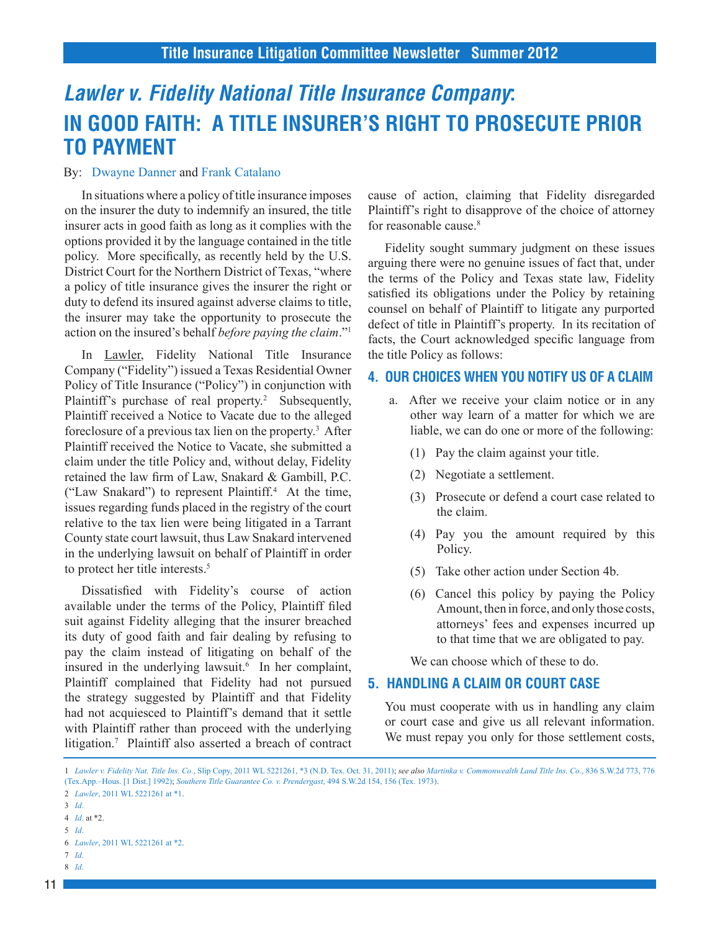## *Lawler v. Fidelity National Title Insurance Company***: IN GOOD FAITH: A TITLE INSURER'S RIGHT TO PROSECUTE PRIOR TO PAYMENT**

### By: Dwayne Danner and Frank Catalano

In situations where a policy of title insurance imposes on the insurer the duty to indemnify an insured, the title insurer acts in good faith as long as it complies with the options provided it by the language contained in the title policy. More specifically, as recently held by the U.S. District Court for the Northern District of Texas, "where a policy of title insurance gives the insurer the right or duty to defend its insured against adverse claims to title, the insurer may take the opportunity to prosecute the action on the insured's behalf *before paying the claim*."1

In Lawler, Fidelity National Title Insurance Company ("Fidelity") issued a Texas Residential Owner Policy of Title Insurance ("Policy") in conjunction with Plaintiff's purchase of real property.<sup>2</sup> Subsequently, Plaintiff received a Notice to Vacate due to the alleged foreclosure of a previous tax lien on the property.<sup>3</sup> After Plaintiff received the Notice to Vacate, she submitted a claim under the title Policy and, without delay, Fidelity retained the law firm of Law, Snakard & Gambill, P.C. ("Law Snakard") to represent Plaintiff.4 At the time, issues regarding funds placed in the registry of the court relative to the tax lien were being litigated in a Tarrant County state court lawsuit, thus Law Snakard intervened in the underlying lawsuit on behalf of Plaintiff in order to protect her title interests.<sup>5</sup>

Dissatisfied with Fidelity's course of action available under the terms of the Policy, Plaintiff filed suit against Fidelity alleging that the insurer breached its duty of good faith and fair dealing by refusing to pay the claim instead of litigating on behalf of the insured in the underlying lawsuit. $6$  In her complaint, Plaintiff complained that Fidelity had not pursued the strategy suggested by Plaintiff and that Fidelity had not acquiesced to Plaintiff's demand that it settle with Plaintiff rather than proceed with the underlying litigation.7 Plaintiff also asserted a breach of contract cause of action, claiming that Fidelity disregarded Plaintiff's right to disapprove of the choice of attorney for reasonable cause.<sup>8</sup>

Fidelity sought summary judgment on these issues arguing there were no genuine issues of fact that, under the terms of the Policy and Texas state law, Fidelity satisfied its obligations under the Policy by retaining counsel on behalf of Plaintiff to litigate any purported defect of title in Plaintiff's property. In its recitation of facts, the Court acknowledged specific language from the title Policy as follows:

### **4. OUR CHOICES WHEN YOU NOTIFY US OF A CLAIM**

- a. After we receive your claim notice or in any other way learn of a matter for which we are liable, we can do one or more of the following:
	- (1) Pay the claim against your title.
	- (2) Negotiate a settlement.
	- (3) Prosecute or defend a court case related to the claim.
	- (4) Pay you the amount required by this Policy.
	- (5) Take other action under Section 4b.
	- (6) Cancel this policy by paying the Policy Amount, then in force, and only those costs, attorneys' fees and expenses incurred up to that time that we are obligated to pay.

We can choose which of these to do.

## **5. HANDLING A CLAIM OR COURT CASE**

You must cooperate with us in handling any claim or court case and give us all relevant information. We must repay you only for those settlement costs,

4 *[Id](http://www.westlaw.com/find/default.wl?ft=Y&db=0000999&rs=ap2.0&rp=%2ffind%2fdefault.wl&serialnum=2026448413&fn=_top&findtype=Y&vr=2.0&wbtoolsId=2026448413&HistoryType=F)*. at \*2.

7 *[Id](http://www.westlaw.com/find/default.wl?ft=Y&db=0000999&rs=ap2.0&rp=%2ffind%2fdefault.wl&serialnum=2026448413&fn=_top&findtype=Y&vr=2.0&wbtoolsId=2026448413&HistoryType=F)*.

<sup>1</sup> *Lawler v. Fidelity Nat. Title Ins. Co.*[, Slip Copy, 2011 WL 5221261, \\*3 \(N.D. Tex. Oct. 31, 2011\)](http://www.westlaw.com/find/default.wl?ft=Y&db=0000999&rs=ap2.0&rp=%2ffind%2fdefault.wl&serialnum=2026448413&fn=_top&findtype=Y&vr=2.0&wbtoolsId=2026448413&HistoryType=F); *see also [Martinka v. Commonwealth Land Title Ins. Co](http://www.westlaw.com/find/default.wl?ft=Y&db=0000713&rs=ap2.0&rp=%2ffind%2fdefault.wl&serialnum=1992143948&fn=_top&findtype=Y&vr=2.0&wbtoolsId=1992143948&HistoryType=F)*., 836 S.W.2d 773, 776 [\(Tex.App.–Hous. \[1 Dist.\] 1992\)](http://www.westlaw.com/find/default.wl?ft=Y&db=0000713&rs=ap2.0&rp=%2ffind%2fdefault.wl&serialnum=1992143948&fn=_top&findtype=Y&vr=2.0&wbtoolsId=1992143948&HistoryType=F); *[Southern Title Guarantee Co. v. Prendergast](http://www.westlaw.com/find/default.wl?ft=Y&db=0000713&rs=ap2.0&rp=%2ffind%2fdefault.wl&serialnum=1973130247&fn=_top&findtype=Y&vr=2.0&wbtoolsId=1973130247&HistoryType=F)*, 494 S.W.2d 154, 156 (Tex. 1973).

<sup>2</sup> *Lawler*[, 2011 WL 5221261 at \\*1.](http://www.westlaw.com/find/default.wl?ft=Y&db=0000999&rs=ap2.0&rp=%2ffind%2fdefault.wl&serialnum=2026448413&fn=_top&findtype=Y&vr=2.0&wbtoolsId=2026448413&HistoryType=F)

<sup>3</sup> *[Id](http://www.westlaw.com/find/default.wl?ft=Y&db=0000999&rs=ap2.0&rp=%2ffind%2fdefault.wl&serialnum=2026448413&fn=_top&findtype=Y&vr=2.0&wbtoolsId=2026448413&HistoryType=F)*.

<sup>5</sup> *[Id](http://www.westlaw.com/find/default.wl?ft=Y&db=0000999&rs=ap2.0&rp=%2ffind%2fdefault.wl&serialnum=2026448413&fn=_top&findtype=Y&vr=2.0&wbtoolsId=2026448413&HistoryType=F)*.

<sup>6</sup> *Lawler*[, 2011 WL 5221261 at \\*2.](http://www.westlaw.com/find/default.wl?ft=Y&db=0000999&rs=ap2.0&rp=%2ffind%2fdefault.wl&serialnum=2026448413&fn=_top&findtype=Y&vr=2.0&wbtoolsId=2026448413&HistoryType=F)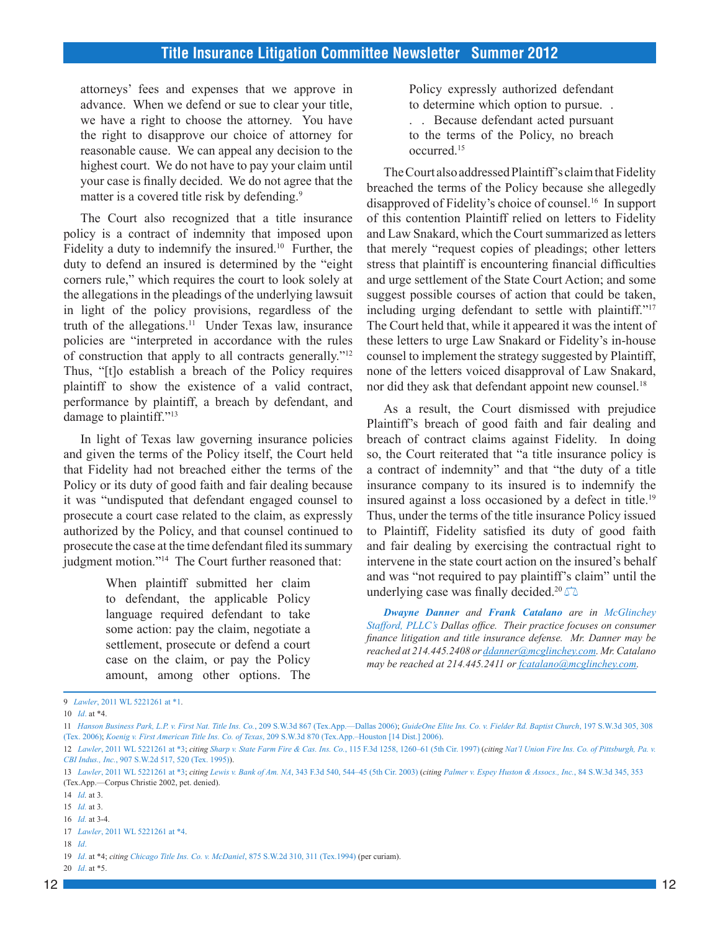attorneys' fees and expenses that we approve in advance. When we defend or sue to clear your title, we have a right to choose the attorney. You have the right to disapprove our choice of attorney for reasonable cause. We can appeal any decision to the highest court. We do not have to pay your claim until your case is finally decided. We do not agree that the matter is a covered title risk by defending.<sup>9</sup>

The Court also recognized that a title insurance policy is a contract of indemnity that imposed upon Fidelity a duty to indemnify the insured.10 Further, the duty to defend an insured is determined by the "eight corners rule," which requires the court to look solely at the allegations in the pleadings of the underlying lawsuit in light of the policy provisions, regardless of the truth of the allegations.<sup>11</sup> Under Texas law, insurance policies are "interpreted in accordance with the rules of construction that apply to all contracts generally."12 Thus, "[t]o establish a breach of the Policy requires plaintiff to show the existence of a valid contract, performance by plaintiff, a breach by defendant, and damage to plaintiff."<sup>13</sup>

In light of Texas law governing insurance policies and given the terms of the Policy itself, the Court held that Fidelity had not breached either the terms of the Policy or its duty of good faith and fair dealing because it was "undisputed that defendant engaged counsel to prosecute a court case related to the claim, as expressly authorized by the Policy, and that counsel continued to prosecute the case at the time defendant filed its summary judgment motion."<sup>14</sup> The Court further reasoned that:

> When plaintiff submitted her claim to defendant, the applicable Policy language required defendant to take some action: pay the claim, negotiate a settlement, prosecute or defend a court case on the claim, or pay the Policy amount, among other options. The

Policy expressly authorized defendant to determine which option to pursue. .

. . Because defendant acted pursuant to the terms of the Policy, no breach occurred.15

The Court also addressed Plaintiff's claim that Fidelity breached the terms of the Policy because she allegedly disapproved of Fidelity's choice of counsel.16 In support of this contention Plaintiff relied on letters to Fidelity and Law Snakard, which the Court summarized as letters that merely "request copies of pleadings; other letters stress that plaintiff is encountering financial difficulties and urge settlement of the State Court Action; and some suggest possible courses of action that could be taken, including urging defendant to settle with plaintiff."17 The Court held that, while it appeared it was the intent of these letters to urge Law Snakard or Fidelity's in-house counsel to implement the strategy suggested by Plaintiff, none of the letters voiced disapproval of Law Snakard, nor did they ask that defendant appoint new counsel.<sup>18</sup>

As a result, the Court dismissed with prejudice Plaintiff's breach of good faith and fair dealing and breach of contract claims against Fidelity. In doing so, the Court reiterated that "a title insurance policy is a contract of indemnity" and that "the duty of a title insurance company to its insured is to indemnify the insured against a loss occasioned by a defect in title.19 Thus, under the terms of the title insurance Policy issued to Plaintiff, Fidelity satisfied its duty of good faith and fair dealing by exercising the contractual right to intervene in the state court action on the insured's behalf and was "not required to pay plaintiff's claim" until the underlying case was finally decided.<sup>20</sup>

*Dwayne Danner and Frank Catalano are in McGlinchey Stafford, PLLC's Dallas office. Their practice focuses on consumer finance litigation and title insurance defense. Mr. Danner may be reached at 214.445.2408 or [ddanner@mcglinchey.com](mailto:ddanner@mcglinchey.com). Mr. Catalano may be reached at 214.445.2411 or [fcatalano@mcglinchey.com](mailto:fcatalano@mcglinchey.com).*

<sup>9</sup> *Lawler*[, 2011 WL 5221261 at \\*1.](http://www.westlaw.com/find/default.wl?ft=Y&db=0000999&rs=ap2.0&rp=%2ffind%2fdefault.wl&serialnum=2026448413&fn=_top&findtype=Y&vr=2.0&wbtoolsId=2026448413&HistoryType=F)

<sup>10</sup> *[Id](http://www.westlaw.com/find/default.wl?ft=Y&db=0000999&rs=ap2.0&rp=%2ffind%2fdefault.wl&serialnum=2026448413&fn=_top&findtype=Y&vr=2.0&wbtoolsId=2026448413&HistoryType=F)*. at \*4.

<sup>11</sup> *[Hanson Business Park, L.P. v. First Nat. Title Ins. Co.](http://www.westlaw.com/find/default.wl?ft=Y&db=0004644&rs=ap2.0&rp=%2ffind%2fdefault.wl&serialnum=2010858987&fn=_top&findtype=Y&vr=2.0&wbtoolsId=2010858987&HistoryType=F)*, 209 S.W.3d 867 (Tex.App.—Dallas 2006); *[GuideOne Elite Ins. Co. v. Fielder Rd. Baptist Church](http://www.westlaw.com/find/default.wl?ft=Y&db=0004644&rs=ap2.0&rp=%2ffind%2fdefault.wl&serialnum=2009470696&fn=_top&findtype=Y&vr=2.0&wbtoolsId=2009470696&HistoryType=F)*, 197 S.W.3d 305, 308 [\(Tex. 2006\);](http://www.westlaw.com/find/default.wl?ft=Y&db=0004644&rs=ap2.0&rp=%2ffind%2fdefault.wl&serialnum=2009470696&fn=_top&findtype=Y&vr=2.0&wbtoolsId=2009470696&HistoryType=F) *Koenig v. First American Title Ins. Co. of Texas*[, 209 S.W.3d 870 \(Tex.App.–Houston \[14 Dist.\] 2006\).](http://www.westlaw.com/find/default.wl?ft=Y&db=0004644&rs=ap2.0&rp=%2ffind%2fdefault.wl&serialnum=2010894392&fn=_top&findtype=Y&vr=2.0&wbtoolsId=2010894392&HistoryType=F)

<sup>12</sup> *Lawler*[, 2011 WL 5221261 at \\*3](http://www.westlaw.com/find/default.wl?ft=Y&db=0000999&rs=ap2.0&rp=%2ffind%2fdefault.wl&serialnum=2026448413&fn=_top&findtype=Y&vr=2.0&wbtoolsId=2026448413&HistoryType=F); *citing Sharp v. State Farm Fire & Cas. Ins. Co.*[, 115 F.3d 1258, 1260–61 \(5th Cir. 1997\)](http://www.westlaw.com/find/default.wl?ft=Y&db=0000506&rs=ap2.0&rp=%2ffind%2fdefault.wl&serialnum=1997127010&fn=_top&findtype=Y&vr=2.0&wbtoolsId=1997127010&HistoryType=F) (*citing [Nat'l Union Fire Ins. Co. of Pittsburgh, Pa. v.](http://www.westlaw.com/find/default.wl?ft=Y&db=0000713&rs=ap2.0&rp=%2ffind%2fdefault.wl&serialnum=1995200571&fn=_top&findtype=Y&vr=2.0&wbtoolsId=1995200571&HistoryType=F) CBI Indus., Inc.*[, 907 S.W.2d 517, 520 \(Tex. 1995\)](http://www.westlaw.com/find/default.wl?ft=Y&db=0000713&rs=ap2.0&rp=%2ffind%2fdefault.wl&serialnum=1995200571&fn=_top&findtype=Y&vr=2.0&wbtoolsId=1995200571&HistoryType=F)).

<sup>13</sup> *Lawler*[, 2011 WL 5221261 at \\*3](http://www.westlaw.com/find/default.wl?ft=Y&db=0000999&rs=ap2.0&rp=%2ffind%2fdefault.wl&serialnum=2026448413&fn=_top&findtype=Y&vr=2.0&wbtoolsId=2026448413&HistoryType=F); *citing Lewis v. Bank of Am. NA*[, 343 F.3d 540, 544–45 \(5th Cir. 2003\)](http://www.westlaw.com/find/default.wl?ft=Y&db=0000506&rs=ap2.0&rp=%2ffind%2fdefault.wl&serialnum=2003566119&fn=_top&findtype=Y&vr=2.0&wbtoolsId=2003566119&HistoryType=F) (*citing [Palmer v. Espey Huston & Assocs., Inc.](http://www.westlaw.com/find/default.wl?ft=Y&db=0004644&rs=ap2.0&rp=%2ffind%2fdefault.wl&serialnum=2002501828&fn=_top&findtype=Y&vr=2.0&wbtoolsId=2002501828&HistoryType=F)*, 84 S.W.3d 345, 353 (Tex.App.—Corpus Christie 2002, pet. denied).

<sup>14</sup> *[Id](http://www.westlaw.com/find/default.wl?ft=Y&db=0000999&rs=ap2.0&rp=%2ffind%2fdefault.wl&serialnum=2026448413&fn=_top&findtype=Y&vr=2.0&wbtoolsId=2026448413&HistoryType=F).* at 3.

<sup>15</sup> *[Id.](http://www.westlaw.com/find/default.wl?ft=Y&db=0000999&rs=ap2.0&rp=%2ffind%2fdefault.wl&serialnum=2026448413&fn=_top&findtype=Y&vr=2.0&wbtoolsId=2026448413&HistoryType=F)* at 3.

<sup>16</sup> *[Id.](http://www.westlaw.com/find/default.wl?ft=Y&db=0000999&rs=ap2.0&rp=%2ffind%2fdefault.wl&serialnum=2026448413&fn=_top&findtype=Y&vr=2.0&wbtoolsId=2026448413&HistoryType=F)* at 3-4.

<sup>17</sup> *Lawler*[, 2011 WL 5221261 at \\*4](http://www.westlaw.com/find/default.wl?ft=Y&db=0000999&rs=ap2.0&rp=%2ffind%2fdefault.wl&serialnum=2026448413&fn=_top&findtype=Y&vr=2.0&wbtoolsId=2026448413&HistoryType=F).

<sup>18</sup> *[Id](http://www.westlaw.com/find/default.wl?ft=Y&db=0000999&rs=ap2.0&rp=%2ffind%2fdefault.wl&serialnum=2026448413&fn=_top&findtype=Y&vr=2.0&wbtoolsId=2026448413&HistoryType=F)*.

<sup>19</sup> *[Id](http://www.westlaw.com/find/default.wl?ft=Y&db=0000999&rs=ap2.0&rp=%2ffind%2fdefault.wl&serialnum=2026448413&fn=_top&findtype=Y&vr=2.0&wbtoolsId=2026448413&HistoryType=F)*. at \*4; *citing [Chicago Title Ins. Co. v. McDaniel](http://www.westlaw.com/find/default.wl?ft=Y&db=0000713&rs=ap2.0&rp=%2ffind%2fdefault.wl&serialnum=1994022115&fn=_top&findtype=Y&vr=2.0&wbtoolsId=1994022115&HistoryType=F)*, 875 S.W.2d 310, 311 (Tex.1994) (per curiam).

<sup>20</sup> *[Id](http://www.westlaw.com/find/default.wl?ft=Y&db=0000999&rs=ap2.0&rp=%2ffind%2fdefault.wl&serialnum=2026448413&fn=_top&findtype=Y&vr=2.0&wbtoolsId=2026448413&HistoryType=F)*. at \*5.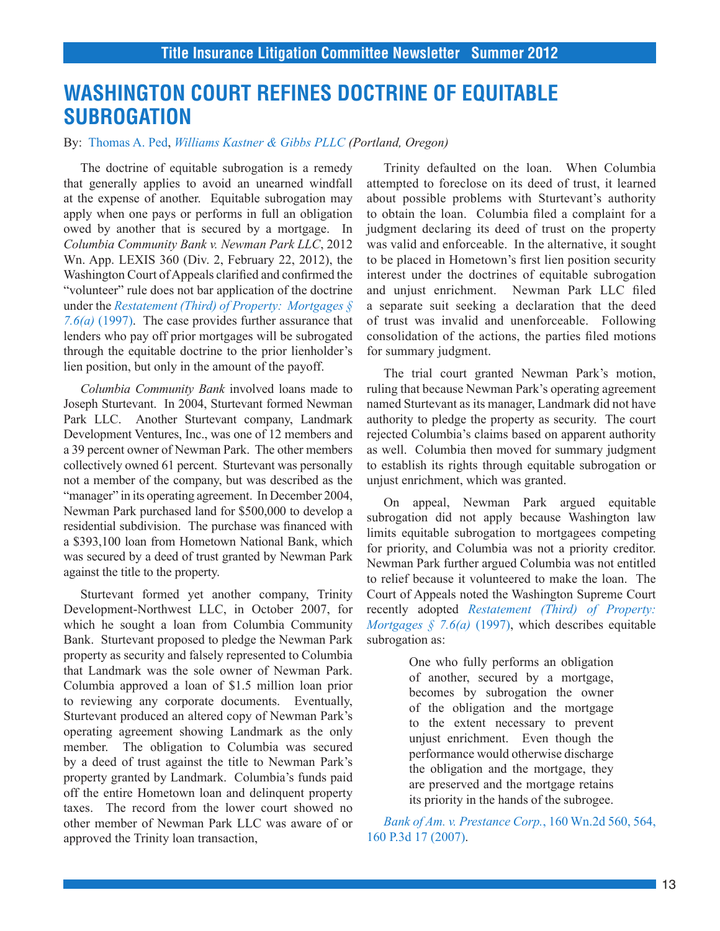## **WASHINGTON COURT REFINES DOCTRINE OF EQUITABLE SUBROGATION**

By: Thomas A. Ped, *Williams Kastner & Gibbs PLLC (Portland, Oregon)*

The doctrine of equitable subrogation is a remedy that generally applies to avoid an unearned windfall at the expense of another. Equitable subrogation may apply when one pays or performs in full an obligation owed by another that is secured by a mortgage. In *Columbia Community Bank v. Newman Park LLC*, 2012 Wn. App. LEXIS 360 (Div. 2, February 22, 2012), the Washington Court of Appeals clarified and confirmed the "volunteer" rule does not bar application of the doctrine under the *[Restatement \(Third\) of Property: Mortgages §](http://www.westlaw.com/Find/Default.wl?rs=dfa1.0&vr=2.0&DB=RESTPROPFIND&FindType=Y&SerialNum=0291636144) 7.6(a)* [\(1997\).](http://www.westlaw.com/Find/Default.wl?rs=dfa1.0&vr=2.0&DB=RESTPROPFIND&FindType=Y&SerialNum=0291636144) The case provides further assurance that lenders who pay off prior mortgages will be subrogated through the equitable doctrine to the prior lienholder's lien position, but only in the amount of the payoff.

*Columbia Community Bank* involved loans made to Joseph Sturtevant. In 2004, Sturtevant formed Newman Park LLC. Another Sturtevant company, Landmark Development Ventures, Inc., was one of 12 members and a 39 percent owner of Newman Park. The other members collectively owned 61 percent. Sturtevant was personally not a member of the company, but was described as the "manager" in its operating agreement. In December 2004, Newman Park purchased land for \$500,000 to develop a residential subdivision. The purchase was financed with a \$393,100 loan from Hometown National Bank, which was secured by a deed of trust granted by Newman Park against the title to the property.

Sturtevant formed yet another company, Trinity Development-Northwest LLC, in October 2007, for which he sought a loan from Columbia Community Bank. Sturtevant proposed to pledge the Newman Park property as security and falsely represented to Columbia that Landmark was the sole owner of Newman Park. Columbia approved a loan of \$1.5 million loan prior to reviewing any corporate documents. Eventually, Sturtevant produced an altered copy of Newman Park's operating agreement showing Landmark as the only member. The obligation to Columbia was secured by a deed of trust against the title to Newman Park's property granted by Landmark. Columbia's funds paid off the entire Hometown loan and delinquent property taxes. The record from the lower court showed no other member of Newman Park LLC was aware of or approved the Trinity loan transaction,

Trinity defaulted on the loan. When Columbia attempted to foreclose on its deed of trust, it learned about possible problems with Sturtevant's authority to obtain the loan. Columbia filed a complaint for a judgment declaring its deed of trust on the property was valid and enforceable. In the alternative, it sought to be placed in Hometown's first lien position security interest under the doctrines of equitable subrogation and unjust enrichment. Newman Park LLC filed a separate suit seeking a declaration that the deed of trust was invalid and unenforceable. Following consolidation of the actions, the parties filed motions for summary judgment.

The trial court granted Newman Park's motion, ruling that because Newman Park's operating agreement named Sturtevant as its manager, Landmark did not have authority to pledge the property as security. The court rejected Columbia's claims based on apparent authority as well. Columbia then moved for summary judgment to establish its rights through equitable subrogation or unjust enrichment, which was granted.

On appeal, Newman Park argued equitable subrogation did not apply because Washington law limits equitable subrogation to mortgagees competing for priority, and Columbia was not a priority creditor. Newman Park further argued Columbia was not entitled to relief because it volunteered to make the loan. The Court of Appeals noted the Washington Supreme Court recently adopted *[Restatement \(Third\) of Property:](http://www.westlaw.com/Find/Default.wl?rs=dfa1.0&vr=2.0&DB=RESTPROPFIND&FindType=Y&SerialNum=0291636144) [Mortgages § 7.6\(a\)](http://www.westlaw.com/Find/Default.wl?rs=dfa1.0&vr=2.0&DB=RESTPROPFIND&FindType=Y&SerialNum=0291636144)* (1997), which describes equitable subrogation as:

> One who fully performs an obligation of another, secured by a mortgage, becomes by subrogation the owner of the obligation and the mortgage to the extent necessary to prevent unjust enrichment. Even though the performance would otherwise discharge the obligation and the mortgage, they are preserved and the mortgage retains its priority in the hands of the subrogee.

*[Bank of Am. v. Prestance Corp.](http://www.westlaw.com/find/default.wl?ft=Y&db=0004645&rs=ap2.0&rp=%2ffind%2fdefault.wl&serialnum=2012418828&fn=_top&findtype=Y&vr=2.0&wbtoolsId=2012418828&HistoryType=F)*, 160 Wn.2d 560, 564, [160 P.3d 17 \(2007\).](http://www.westlaw.com/find/default.wl?ft=Y&db=0004645&rs=ap2.0&rp=%2ffind%2fdefault.wl&serialnum=2012418828&fn=_top&findtype=Y&vr=2.0&wbtoolsId=2012418828&HistoryType=F)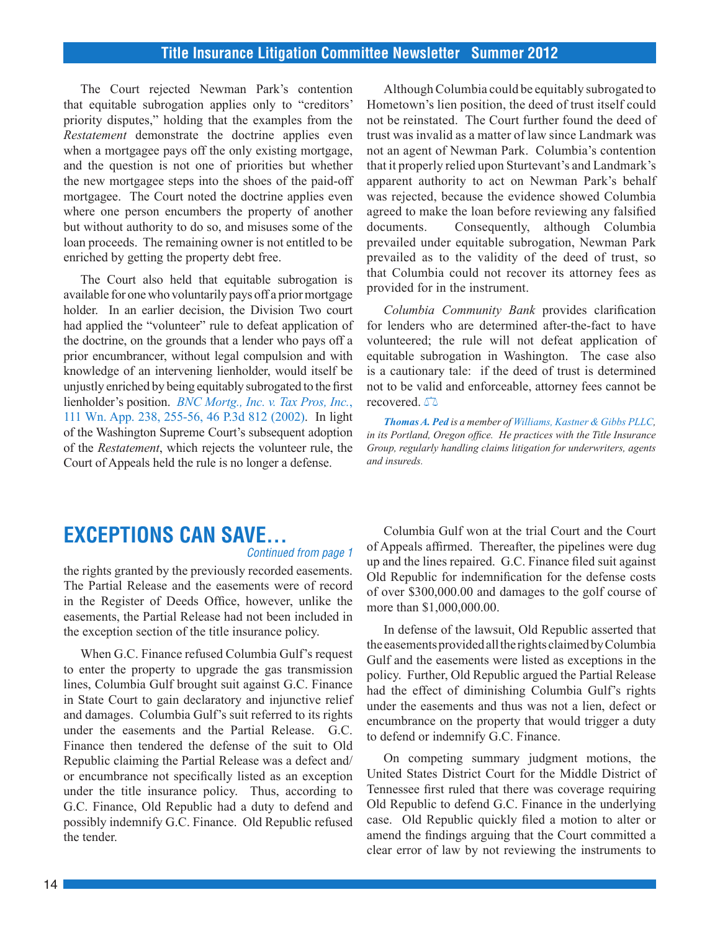The Court rejected Newman Park's contention that equitable subrogation applies only to "creditors' priority disputes," holding that the examples from the *Restatement* demonstrate the doctrine applies even when a mortgagee pays off the only existing mortgage, and the question is not one of priorities but whether the new mortgagee steps into the shoes of the paid-off mortgagee. The Court noted the doctrine applies even where one person encumbers the property of another but without authority to do so, and misuses some of the loan proceeds. The remaining owner is not entitled to be enriched by getting the property debt free.

The Court also held that equitable subrogation is available for one who voluntarily pays off a prior mortgage holder. In an earlier decision, the Division Two court had applied the "volunteer" rule to defeat application of the doctrine, on the grounds that a lender who pays off a prior encumbrancer, without legal compulsion and with knowledge of an intervening lienholder, would itself be unjustly enriched by being equitably subrogated to the first lienholder's position. *[BNC Mortg., Inc. v. Tax Pros, Inc.](http://www.westlaw.com/find/default.wl?ft=Y&db=0004645&rs=ap2.0&rp=%2ffind%2fdefault.wl&serialnum=2002251948&fn=_top&findtype=Y&vr=2.0&wbtoolsId=2002251948&HistoryType=F)*, [111 Wn. App. 238, 255-56, 46 P.3d 812 \(2002\)](http://www.westlaw.com/find/default.wl?ft=Y&db=0004645&rs=ap2.0&rp=%2ffind%2fdefault.wl&serialnum=2002251948&fn=_top&findtype=Y&vr=2.0&wbtoolsId=2002251948&HistoryType=F). In light of the Washington Supreme Court's subsequent adoption of the *Restatement*, which rejects the volunteer rule, the Court of Appeals held the rule is no longer a defense.

Although Columbia could be equitably subrogated to Hometown's lien position, the deed of trust itself could not be reinstated. The Court further found the deed of trust was invalid as a matter of law since Landmark was not an agent of Newman Park. Columbia's contention that it properly relied upon Sturtevant's and Landmark's apparent authority to act on Newman Park's behalf was rejected, because the evidence showed Columbia agreed to make the loan before reviewing any falsified documents. Consequently, although Columbia prevailed under equitable subrogation, Newman Park prevailed as to the validity of the deed of trust, so that Columbia could not recover its attorney fees as provided for in the instrument.

*Columbia Community Bank* provides clarification for lenders who are determined after-the-fact to have volunteered; the rule will not defeat application of equitable subrogation in Washington. The case also is a cautionary tale: if the deed of trust is determined not to be valid and enforceable, attorney fees cannot be recovered.  $\sqrt{2}$ 

*Thomas A. Ped is a member of Williams, Kastner & Gibbs PLLC, in its Portland, Oregon office. He practices with the Title Insurance Group, regularly handling claims litigation for underwriters, agents and insureds.*

# **EXCEPTIONS CAN SAVE...**

### *Continued from page 1*

the rights granted by the previously recorded easements. The Partial Release and the easements were of record in the Register of Deeds Office, however, unlike the easements, the Partial Release had not been included in the exception section of the title insurance policy.

When G.C. Finance refused Columbia Gulf's request to enter the property to upgrade the gas transmission lines, Columbia Gulf brought suit against G.C. Finance in State Court to gain declaratory and injunctive relief and damages. Columbia Gulf's suit referred to its rights under the easements and the Partial Release. G.C. Finance then tendered the defense of the suit to Old Republic claiming the Partial Release was a defect and/ or encumbrance not specifically listed as an exception under the title insurance policy. Thus, according to G.C. Finance, Old Republic had a duty to defend and possibly indemnify G.C. Finance. Old Republic refused the tender.

Columbia Gulf won at the trial Court and the Court of Appeals affirmed. Thereafter, the pipelines were dug up and the lines repaired. G.C. Finance filed suit against Old Republic for indemnification for the defense costs of over \$300,000.00 and damages to the golf course of more than \$1,000,000.00.

In defense of the lawsuit, Old Republic asserted that the easements provided all the rights claimed by Columbia Gulf and the easements were listed as exceptions in the policy. Further, Old Republic argued the Partial Release had the effect of diminishing Columbia Gulf's rights under the easements and thus was not a lien, defect or encumbrance on the property that would trigger a duty to defend or indemnify G.C. Finance.

On competing summary judgment motions, the United States District Court for the Middle District of Tennessee first ruled that there was coverage requiring Old Republic to defend G.C. Finance in the underlying case. Old Republic quickly filed a motion to alter or amend the findings arguing that the Court committed a clear error of law by not reviewing the instruments to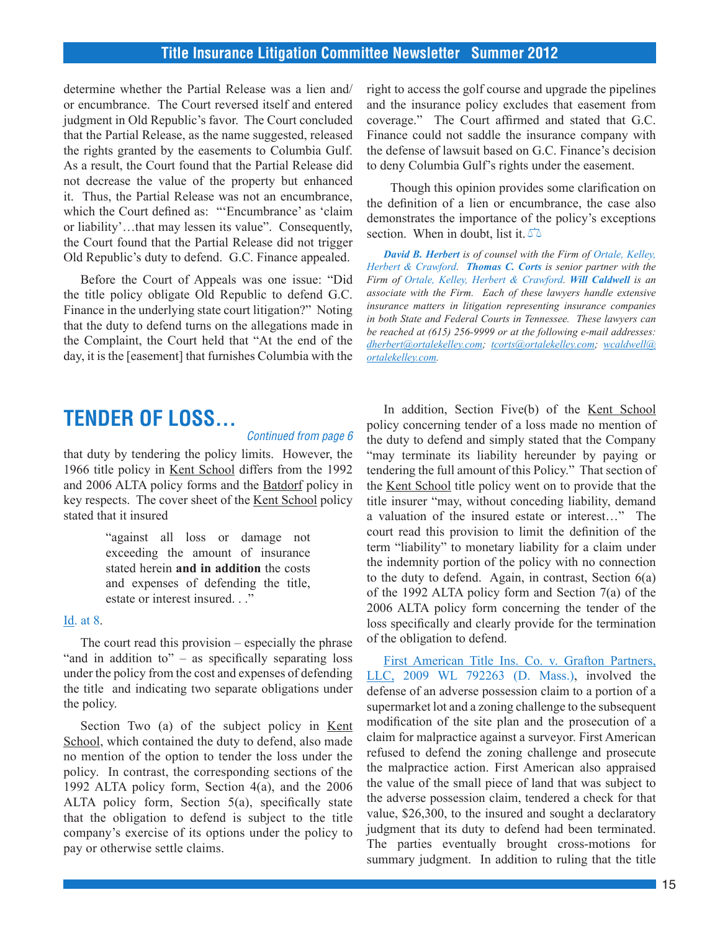determine whether the Partial Release was a lien and/ or encumbrance. The Court reversed itself and entered judgment in Old Republic's favor. The Court concluded that the Partial Release, as the name suggested, released the rights granted by the easements to Columbia Gulf. As a result, the Court found that the Partial Release did not decrease the value of the property but enhanced it. Thus, the Partial Release was not an encumbrance, which the Court defined as: "'Encumbrance' as 'claim or liability'…that may lessen its value". Consequently, the Court found that the Partial Release did not trigger Old Republic's duty to defend. G.C. Finance appealed.

Before the Court of Appeals was one issue: "Did the title policy obligate Old Republic to defend G.C. Finance in the underlying state court litigation?" Noting that the duty to defend turns on the allegations made in the Complaint, the Court held that "At the end of the day, it is the [easement] that furnishes Columbia with the right to access the golf course and upgrade the pipelines and the insurance policy excludes that easement from coverage." The Court affirmed and stated that G.C. Finance could not saddle the insurance company with the defense of lawsuit based on G.C. Finance's decision to deny Columbia Gulf's rights under the easement.

 Though this opinion provides some clarification on the definition of a lien or encumbrance, the case also demonstrates the importance of the policy's exceptions section. When in doubt, list it.  $\sqrt{2}$ 

*David B. Herbert is of counsel with the Firm of Ortale, Kelley, Herbert & Crawford. Thomas C. Corts is senior partner with the Firm of Ortale, Kelley, Herbert & Crawford. Will Caldwell is an associate with the Firm. Each of these lawyers handle extensive insurance matters in litigation representing insurance companies in both State and Federal Courts in Tennessee. These lawyers can be reached at (615) 256-9999 or at the following e-mail addresses: [dherbert@ortalekelley.com](mailto:dherbert@ortalekelley.com); [tcorts@ortalekelley.com;](mailto:tcorts@ortalekelley.com) [wcaldwell@](mailto:wcaldwell@ortalekelley.com) [ortalekelley.com](mailto:wcaldwell@ortalekelley.com).*

## **TENDER OF LOSS...**

#### *Continued from page 6*

that duty by tendering the policy limits. However, the 1966 title policy in Kent School differs from the 1992 and 2006 ALTA policy forms and the Batdorf policy in key respects. The cover sheet of the Kent School policy stated that it insured

> "against all loss or damage not exceeding the amount of insurance stated herein **and in addition** the costs and expenses of defending the title, estate or interest insured. . ."

### [Id. at 8.](http://www.westlaw.com/find/default.wl?ft=Y&db=0004637&rs=ap2.0&rp=%2ffind%2fdefault.wl&serialnum=2006373622&fn=_top&findtype=Y&vr=2.0&wbtoolsId=2006373622&HistoryType=F)

The court read this provision – especially the phrase "and in addition to"  $-$  as specifically separating loss under the policy from the cost and expenses of defending the title and indicating two separate obligations under the policy.

Section Two (a) of the subject policy in Kent School, which contained the duty to defend, also made no mention of the option to tender the loss under the policy. In contrast, the corresponding sections of the 1992 ALTA policy form, Section 4(a), and the 2006 ALTA policy form, Section 5(a), specifically state that the obligation to defend is subject to the title company's exercise of its options under the policy to pay or otherwise settle claims.

In addition, Section Five(b) of the Kent School policy concerning tender of a loss made no mention of the duty to defend and simply stated that the Company "may terminate its liability hereunder by paying or tendering the full amount of this Policy." That section of the Kent School title policy went on to provide that the title insurer "may, without conceding liability, demand a valuation of the insured estate or interest…" The court read this provision to limit the definition of the term "liability" to monetary liability for a claim under the indemnity portion of the policy with no connection to the duty to defend. Again, in contrast, Section 6(a) of the 1992 ALTA policy form and Section 7(a) of the 2006 ALTA policy form concerning the tender of the loss specifically and clearly provide for the termination of the obligation to defend.

[First American Title Ins. Co. v. Grafton Partners,](http://www.westlaw.com/find/default.wl?ft=Y&db=0000999&rs=ap2.0&rp=%2ffind%2fdefault.wl&serialnum=2018485468&fn=_top&findtype=Y&vr=2.0&wbtoolsId=2018485468&HistoryType=F) [LLC, 2009 WL 792263 \(D. Mass.\)](http://www.westlaw.com/find/default.wl?ft=Y&db=0000999&rs=ap2.0&rp=%2ffind%2fdefault.wl&serialnum=2018485468&fn=_top&findtype=Y&vr=2.0&wbtoolsId=2018485468&HistoryType=F), involved the defense of an adverse possession claim to a portion of a supermarket lot and a zoning challenge to the subsequent modification of the site plan and the prosecution of a claim for malpractice against a surveyor. First American refused to defend the zoning challenge and prosecute the malpractice action. First American also appraised the value of the small piece of land that was subject to the adverse possession claim, tendered a check for that value, \$26,300, to the insured and sought a declaratory judgment that its duty to defend had been terminated. The parties eventually brought cross-motions for summary judgment. In addition to ruling that the title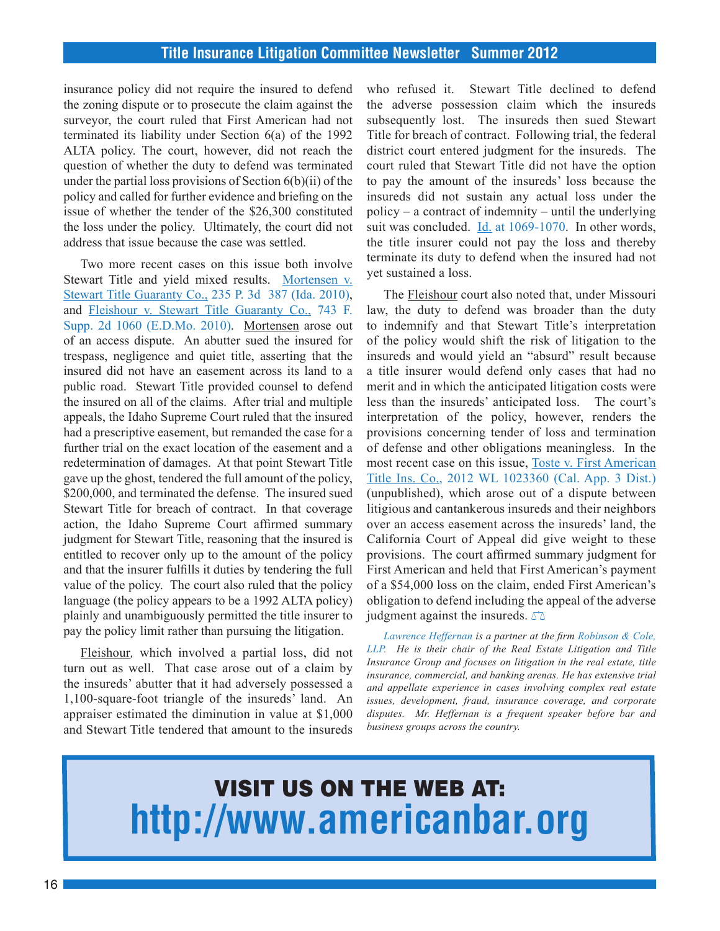insurance policy did not require the insured to defend the zoning dispute or to prosecute the claim against the surveyor, the court ruled that First American had not terminated its liability under Section 6(a) of the 1992 ALTA policy. The court, however, did not reach the question of whether the duty to defend was terminated under the partial loss provisions of Section 6(b)(ii) of the policy and called for further evidence and briefing on the issue of whether the tender of the \$26,300 constituted the loss under the policy. Ultimately, the court did not address that issue because the case was settled.

Two more recent cases on this issue both involve Stewart Title and yield mixed results. [Mortensen v.](http://www.westlaw.com/find/default.wl?ft=Y&db=0004645&rs=ap2.0&rp=%2ffind%2fdefault.wl&serialnum=2022429385&fn=_top&findtype=Y&vr=2.0&wbtoolsId=2022429385&HistoryType=F)  [Stewart Title Guaranty Co., 235 P. 3d 387 \(Ida. 2010\)](http://www.westlaw.com/find/default.wl?ft=Y&db=0004645&rs=ap2.0&rp=%2ffind%2fdefault.wl&serialnum=2022429385&fn=_top&findtype=Y&vr=2.0&wbtoolsId=2022429385&HistoryType=F), and [Fleishour v. Stewart Title Guaranty Co., 743 F.](http://www.westlaw.com/find/default.wl?ft=Y&db=0004637&rs=ap2.0&rp=%2ffind%2fdefault.wl&serialnum=2023228978&fn=_top&findtype=Y&vr=2.0&wbtoolsId=2023228978&HistoryType=F)  [Supp. 2d 1060 \(E.D.Mo. 2010\)](http://www.westlaw.com/find/default.wl?ft=Y&db=0004637&rs=ap2.0&rp=%2ffind%2fdefault.wl&serialnum=2023228978&fn=_top&findtype=Y&vr=2.0&wbtoolsId=2023228978&HistoryType=F). Mortensen arose out of an access dispute. An abutter sued the insured for trespass, negligence and quiet title, asserting that the insured did not have an easement across its land to a public road. Stewart Title provided counsel to defend the insured on all of the claims. After trial and multiple appeals, the Idaho Supreme Court ruled that the insured had a prescriptive easement, but remanded the case for a further trial on the exact location of the easement and a redetermination of damages. At that point Stewart Title gave up the ghost, tendered the full amount of the policy, \$200,000, and terminated the defense. The insured sued Stewart Title for breach of contract. In that coverage action, the Idaho Supreme Court affirmed summary judgment for Stewart Title, reasoning that the insured is entitled to recover only up to the amount of the policy and that the insurer fulfills it duties by tendering the full value of the policy. The court also ruled that the policy language (the policy appears to be a 1992 ALTA policy) plainly and unambiguously permitted the title insurer to pay the policy limit rather than pursuing the litigation.

Fleishour*,* which involved a partial loss, did not turn out as well. That case arose out of a claim by the insureds' abutter that it had adversely possessed a 1,100-square-foot triangle of the insureds' land. An appraiser estimated the diminution in value at \$1,000 and Stewart Title tendered that amount to the insureds

who refused it. Stewart Title declined to defend the adverse possession claim which the insureds subsequently lost. The insureds then sued Stewart Title for breach of contract. Following trial, the federal district court entered judgment for the insureds. The court ruled that Stewart Title did not have the option to pay the amount of the insureds' loss because the insureds did not sustain any actual loss under the policy – a contract of indemnity – until the underlying suit was concluded. [Id. at 1069-1070](http://www.westlaw.com/find/default.wl?ft=Y&db=0004637&rs=ap2.0&rp=%2ffind%2fdefault.wl&serialnum=2023228978&fn=_top&findtype=Y&vr=2.0&wbtoolsId=2023228978&HistoryType=F). In other words, the title insurer could not pay the loss and thereby terminate its duty to defend when the insured had not yet sustained a loss.

The Fleishour court also noted that, under Missouri law, the duty to defend was broader than the duty to indemnify and that Stewart Title's interpretation of the policy would shift the risk of litigation to the insureds and would yield an "absurd" result because a title insurer would defend only cases that had no merit and in which the anticipated litigation costs were less than the insureds' anticipated loss. The court's interpretation of the policy, however, renders the provisions concerning tender of loss and termination of defense and other obligations meaningless. In the most recent case on this issue, [Toste v. First American](http://www.westlaw.com/find/default.wl?ft=Y&db=0000999&rs=ap2.0&rp=%2ffind%2fdefault.wl&serialnum=2027394767&fn=_top&findtype=Y&vr=2.0&wbtoolsId=2027394767&HistoryType=F) [Title Ins. Co., 2012 WL 1023360 \(Cal. App. 3 Dist.\)](http://www.westlaw.com/find/default.wl?ft=Y&db=0000999&rs=ap2.0&rp=%2ffind%2fdefault.wl&serialnum=2027394767&fn=_top&findtype=Y&vr=2.0&wbtoolsId=2027394767&HistoryType=F) (unpublished), which arose out of a dispute between litigious and cantankerous insureds and their neighbors over an access easement across the insureds' land, the California Court of Appeal did give weight to these provisions. The court affirmed summary judgment for First American and held that First American's payment of a \$54,000 loss on the claim, ended First American's obligation to defend including the appeal of the adverse judgment against the insureds.  $\triangle$ 

*Lawrence Heffernan is a partner at the firm Robinson & Cole, LLP. He is their chair of the Real Estate Litigation and Title Insurance Group and focuses on litigation in the real estate, title insurance, commercial, and banking arenas. He has extensive trial and appellate experience in cases involving complex real estate issues, development, fraud, insurance coverage, and corporate disputes. Mr. Heffernan is a frequent speaker before bar and business groups across the country.*

# VISIT US ON THE WEB AT: **http://www.americanbar.org**